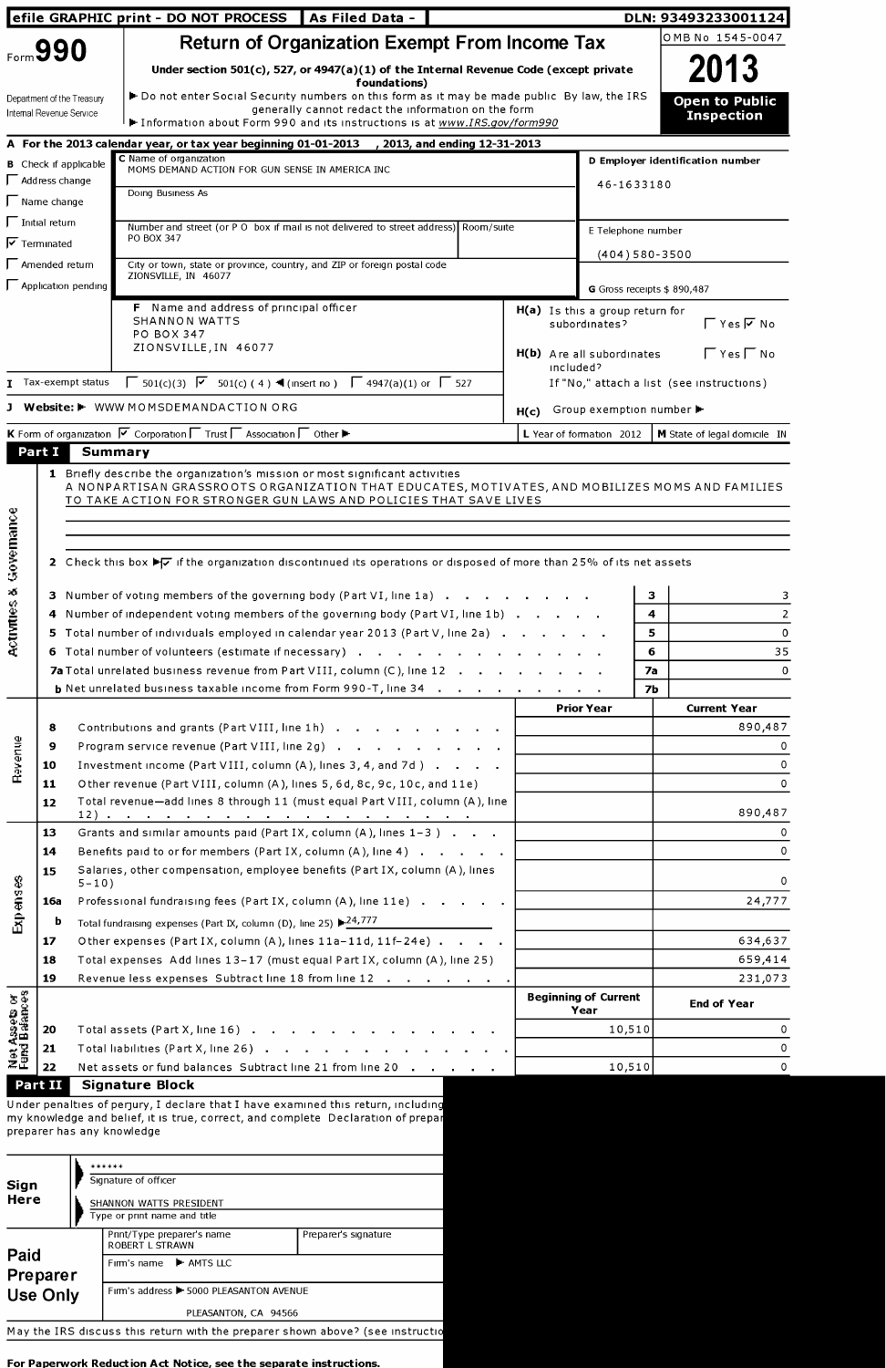|                                                                                                                               | efile GRAPHIC print - DO NOT PROCESS   As Filed Data -                                                                                                               |                                                                                          |                                     |                                           |                                                                     |  |  |  |  |  |
|-------------------------------------------------------------------------------------------------------------------------------|----------------------------------------------------------------------------------------------------------------------------------------------------------------------|------------------------------------------------------------------------------------------|-------------------------------------|-------------------------------------------|---------------------------------------------------------------------|--|--|--|--|--|
| Form 990                                                                                                                      | <b>Return of Organization Exempt From Income Tax</b>                                                                                                                 |                                                                                          |                                     | OMB No 1545-0047                          |                                                                     |  |  |  |  |  |
|                                                                                                                               |                                                                                                                                                                      | Under section $501(c)$ , 527, or 4947(a)(1) of the Internal Revenue Code (except private |                                     |                                           |                                                                     |  |  |  |  |  |
| Department of the Treasury                                                                                                    | foundations)<br>Do not enter Social Security numbers on this form as it may be made public By law, the IRS                                                           |                                                                                          |                                     | 2013<br><b>Open to Public</b>             |                                                                     |  |  |  |  |  |
| Internal Revenue Service                                                                                                      | generally cannot redact the information on the form<br>Information about Form 990 and its instructions is at www.IRS.gov/form990                                     |                                                                                          |                                     | <b>Inspection</b>                         |                                                                     |  |  |  |  |  |
|                                                                                                                               | A For the 2013 calendar year, or tax year beginning 01-01-2013 , 2013, and ending 12-31-2013                                                                         |                                                                                          |                                     |                                           |                                                                     |  |  |  |  |  |
| <b>B</b> Check if applicable                                                                                                  | C Name of organization                                                                                                                                               |                                                                                          |                                     | D Employer identification number          |                                                                     |  |  |  |  |  |
| $\Box$ Address change                                                                                                         | MOMS DEMAND ACTION FOR GUN SENSE IN AMERICA INC                                                                                                                      |                                                                                          | 46-1633180                          |                                           |                                                                     |  |  |  |  |  |
| Name change                                                                                                                   | Doing Business As                                                                                                                                                    |                                                                                          |                                     |                                           |                                                                     |  |  |  |  |  |
| $\Box$ Initial return                                                                                                         | Number and street (or P O box if mail is not delivered to street address) Room/suite                                                                                 |                                                                                          |                                     |                                           |                                                                     |  |  |  |  |  |
| $\overline{\mathsf{v}}$ Terminated                                                                                            | PO BOX 347                                                                                                                                                           |                                                                                          | E Telephone number                  |                                           |                                                                     |  |  |  |  |  |
| -<br>Amended return                                                                                                           | City or town, state or province, country, and ZIP or foreign postal code                                                                                             |                                                                                          | $(404)580 - 3500$                   |                                           |                                                                     |  |  |  |  |  |
| Application pending                                                                                                           | ZIONSVILLE, IN 46077                                                                                                                                                 |                                                                                          |                                     | G Gross receipts $$890,487$               |                                                                     |  |  |  |  |  |
|                                                                                                                               | F Name and address of principal officer                                                                                                                              |                                                                                          | $H(a)$ Is this a group return for   |                                           |                                                                     |  |  |  |  |  |
|                                                                                                                               | SHANNON WATTS                                                                                                                                                        |                                                                                          | subordinates?                       | $\Gamma$ Yes $\overline{V}$ No            |                                                                     |  |  |  |  |  |
|                                                                                                                               | <b>PO BOX 347</b><br>ZIONSVILLE, IN 46077                                                                                                                            |                                                                                          |                                     |                                           |                                                                     |  |  |  |  |  |
|                                                                                                                               |                                                                                                                                                                      | included?                                                                                | H(b) Are all subordinates           | $\Gamma$ Yes $\Gamma$ No                  |                                                                     |  |  |  |  |  |
| Tax-exempt status                                                                                                             |                                                                                                                                                                      |                                                                                          |                                     | If "No," attach a list (see instructions) |                                                                     |  |  |  |  |  |
|                                                                                                                               | Website: I WWW MOMSDEMANDACTION ORG                                                                                                                                  | H(c)                                                                                     | Group exemption number ▶            |                                           |                                                                     |  |  |  |  |  |
|                                                                                                                               | K Form of organization $\sqrt{\phantom{a}}$ Corporation $\sqrt{\phantom{a}}$ Trust $\sqrt{\phantom{a}}$ Association $\sqrt{\phantom{a}}$ Other $\blacktriangleright$ |                                                                                          | L Year of formation 2012            | M State of legal domicile IN              |                                                                     |  |  |  |  |  |
| Part I                                                                                                                        | <b>Summary</b>                                                                                                                                                       |                                                                                          |                                     |                                           |                                                                     |  |  |  |  |  |
|                                                                                                                               |                                                                                                                                                                      |                                                                                          |                                     |                                           |                                                                     |  |  |  |  |  |
|                                                                                                                               |                                                                                                                                                                      |                                                                                          |                                     |                                           |                                                                     |  |  |  |  |  |
|                                                                                                                               |                                                                                                                                                                      |                                                                                          |                                     |                                           |                                                                     |  |  |  |  |  |
|                                                                                                                               | 2 Check this box I T if the organization discontinued its operations or disposed of more than 25% of its net assets                                                  |                                                                                          |                                     |                                           |                                                                     |  |  |  |  |  |
|                                                                                                                               | 3 Number of voting members of the governing body (Part VI, line 1a)                                                                                                  |                                                                                          |                                     | з                                         |                                                                     |  |  |  |  |  |
|                                                                                                                               | 4 Number of independent voting members of the governing body (Part VI, line 1b)                                                                                      |                                                                                          |                                     | 4                                         |                                                                     |  |  |  |  |  |
|                                                                                                                               | 5 Total number of individuals employed in calendar year 2013 (Part V, line 2a)                                                                                       |                                                                                          |                                     | 5.                                        |                                                                     |  |  |  |  |  |
|                                                                                                                               | 6 Total number of volunteers (estimate if necessary)                                                                                                                 |                                                                                          |                                     | 6.                                        |                                                                     |  |  |  |  |  |
|                                                                                                                               | 7a Total unrelated business revenue from Part VIII, column (C), line 12                                                                                              |                                                                                          |                                     | 7а                                        |                                                                     |  |  |  |  |  |
|                                                                                                                               | <b>b</b> Net unrelated business taxable income from Form 990-T, line 34                                                                                              |                                                                                          |                                     | <b>7b</b>                                 |                                                                     |  |  |  |  |  |
|                                                                                                                               |                                                                                                                                                                      |                                                                                          | <b>Prior Year</b>                   | <b>Current Year</b>                       |                                                                     |  |  |  |  |  |
| 8<br>9                                                                                                                        | Contributions and grants (Part VIII, line 1h)                                                                                                                        |                                                                                          |                                     |                                           |                                                                     |  |  |  |  |  |
| 10                                                                                                                            | Program service revenue (Part VIII, line 2g)<br>Investment income (Part VIII, column (A), lines 3, 4, and 7d)                                                        |                                                                                          |                                     |                                           |                                                                     |  |  |  |  |  |
| 11                                                                                                                            | Other revenue (Part VIII, column (A), lines 5, 6d, 8c, 9c, 10c, and 11e)                                                                                             |                                                                                          |                                     |                                           |                                                                     |  |  |  |  |  |
| 12                                                                                                                            | Total revenue-add lines 8 through 11 (must equal Part VIII, column (A), line                                                                                         |                                                                                          |                                     |                                           |                                                                     |  |  |  |  |  |
|                                                                                                                               |                                                                                                                                                                      |                                                                                          |                                     |                                           |                                                                     |  |  |  |  |  |
| 13                                                                                                                            | Grants and similar amounts paid (Part IX, column (A), lines 1-3)                                                                                                     |                                                                                          |                                     |                                           |                                                                     |  |  |  |  |  |
| 14<br>15                                                                                                                      | Benefits paid to or for members (Part IX, column (A), line 4)                                                                                                        |                                                                                          |                                     |                                           |                                                                     |  |  |  |  |  |
|                                                                                                                               | Salaries, other compensation, employee benefits (Part IX, column (A), lines<br>$5 - 10$ )                                                                            |                                                                                          |                                     |                                           |                                                                     |  |  |  |  |  |
| 16a                                                                                                                           | Professional fundraising fees (Part IX, column (A), line 11e)                                                                                                        |                                                                                          |                                     |                                           |                                                                     |  |  |  |  |  |
| b                                                                                                                             | Total fundraising expenses (Part IX, column (D), line 25) $\blacktriangleright$ 24,777                                                                               |                                                                                          |                                     |                                           |                                                                     |  |  |  |  |  |
| 17                                                                                                                            | Other expenses (Part IX, column (A), lines 11a-11d, 11f-24e)                                                                                                         |                                                                                          |                                     |                                           |                                                                     |  |  |  |  |  |
| 18                                                                                                                            | Total expenses Add lines 13-17 (must equal Part IX, column (A), line 25)                                                                                             |                                                                                          |                                     |                                           |                                                                     |  |  |  |  |  |
| 19                                                                                                                            | Revenue less expenses Subtract line 18 from line 12                                                                                                                  |                                                                                          |                                     |                                           |                                                                     |  |  |  |  |  |
|                                                                                                                               |                                                                                                                                                                      |                                                                                          | <b>Beginning of Current</b><br>Year | <b>End of Year</b>                        |                                                                     |  |  |  |  |  |
| 20                                                                                                                            | Total assets (Part X, line 16)                                                                                                                                       |                                                                                          | 10,510                              |                                           |                                                                     |  |  |  |  |  |
| Governance<br>$\mathcal{A}^{\mathcal{S}}$<br>Activities<br>Revenue<br>Expenses<br><b>Net Assets or</b><br>Fund Balances<br>21 | Total liabilities (Part X, line 26)<br>Net assets or fund balances Subtract line 21 from line 20                                                                     |                                                                                          | 10,510                              |                                           | 35<br>890,487<br>890,487<br>24,777<br>634,637<br>659,414<br>231,073 |  |  |  |  |  |

Under penalties of perjury, <sup>I</sup> declare that <sup>I</sup> have examined this return, includin my knowledge and belief, it is true, correct, and complete Declaration of preps preparer has any knowledge

|                  |                         |  | ******                                               |                      |  |  |  |  |
|------------------|-------------------------|--|------------------------------------------------------|----------------------|--|--|--|--|
| Sign             |                         |  | Signature of officer                                 |                      |  |  |  |  |
| Here             | SHANNON WATTS PRESIDENT |  |                                                      |                      |  |  |  |  |
|                  |                         |  | Type or print name and title                         |                      |  |  |  |  |
|                  |                         |  | Print/Type preparer's name<br><b>ROBERT L STRAWN</b> | Preparer's signature |  |  |  |  |
| Paid<br>Preparer |                         |  | Firm's name $\blacktriangleright$ AMTS LLC           |                      |  |  |  |  |
| <b>Use Only</b>  |                         |  | Firm's address - 5000 PLEASANTON AVENUE              |                      |  |  |  |  |
|                  |                         |  | PLEASANTON, CA 94566                                 |                      |  |  |  |  |
|                  |                         |  |                                                      |                      |  |  |  |  |

May the IRS discuss this return with the preparer shown above? (see instructio

For Paperwork Reduction Act Notice, see the separate instructions.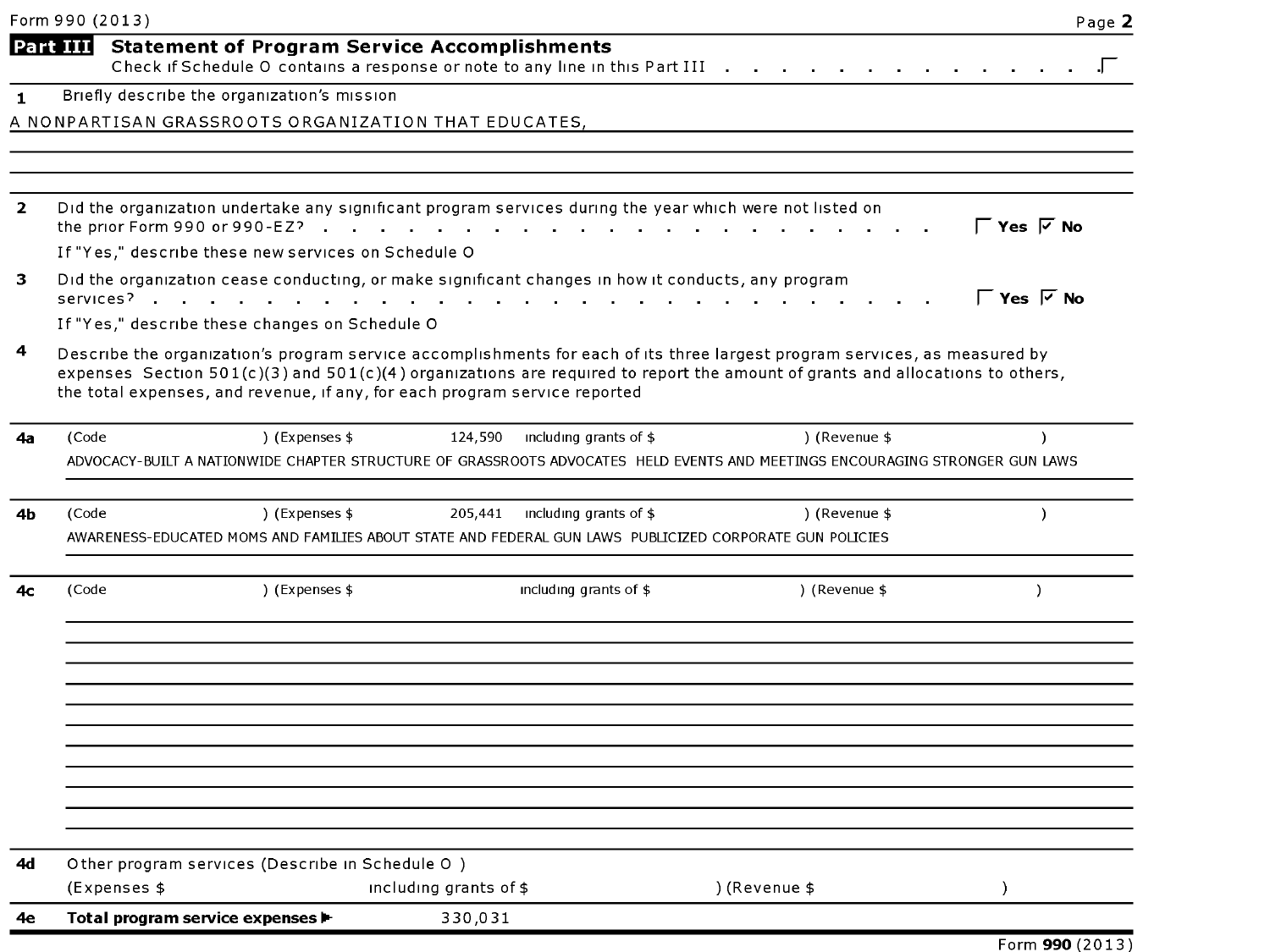|              | Form 990 (2013) |                                                                                                                                                                                                                                                                                                                                           |                                   |               | Page 2                                                                                                                                                     |
|--------------|-----------------|-------------------------------------------------------------------------------------------------------------------------------------------------------------------------------------------------------------------------------------------------------------------------------------------------------------------------------------------|-----------------------------------|---------------|------------------------------------------------------------------------------------------------------------------------------------------------------------|
|              | Part III        | <b>Statement of Program Service Accomplishments</b><br>Check if Schedule O contains a response or note to any line in this Part III                                                                                                                                                                                                       |                                   |               |                                                                                                                                                            |
| $\mathbf{1}$ |                 | Briefly describe the organization's mission                                                                                                                                                                                                                                                                                               |                                   |               |                                                                                                                                                            |
|              |                 | A NONPARTISAN GRASSROOTS ORGANIZATION THAT EDUCATES,                                                                                                                                                                                                                                                                                      |                                   |               |                                                                                                                                                            |
| $\mathbf{2}$ |                 | Did the organization undertake any significant program services during the year which were not listed on                                                                                                                                                                                                                                  |                                   |               |                                                                                                                                                            |
|              |                 | If "Yes," describe these new services on Schedule O                                                                                                                                                                                                                                                                                       |                                   |               | $\Gamma$ Yes $\overline{V}$ No                                                                                                                             |
| з            |                 | Did the organization cease conducting, or make significant changes in how it conducts, any program<br>services?<br>If "Yes," describe these changes on Schedule O                                                                                                                                                                         | $\sim$ $\sim$                     |               | $\Gamma$ Yes $\overline{V}$ No                                                                                                                             |
| 4            |                 | Describe the organization's program service accomplishments for each of its three largest program services, as measured by<br>expenses Section 501(c)(3) and 501(c)(4) organizations are required to report the amount of grants and allocations to others,<br>the total expenses, and revenue, if any, for each program service reported |                                   |               |                                                                                                                                                            |
| 4a           | (Code           | ) (Expenses \$                                                                                                                                                                                                                                                                                                                            | 124,590<br>including grants of \$ |               | ) (Revenue \$<br>$\lambda$<br>ADVOCACY-BUILT A NATIONWIDE CHAPTER STRUCTURE OF GRASSROOTS ADVOCATES HELD EVENTS AND MEETINGS ENCOURAGING STRONGER GUN LAWS |
| 4b           | (Code           | ) (Expenses \$<br>AWARENESS-EDUCATED MOMS AND FAMILIES ABOUT STATE AND FEDERAL GUN LAWS PUBLICIZED CORPORATE GUN POLICIES                                                                                                                                                                                                                 | including grants of \$<br>205,441 |               | ) (Revenue \$<br>$\lambda$                                                                                                                                 |
| 4с           | (Code           | ) (Expenses \$                                                                                                                                                                                                                                                                                                                            | including grants of \$            |               | $($ Revenue \$<br>$\lambda$                                                                                                                                |
|              |                 |                                                                                                                                                                                                                                                                                                                                           |                                   |               |                                                                                                                                                            |
| 4d           | (Expenses \$    | Other program services (Describe in Schedule O)                                                                                                                                                                                                                                                                                           | including grants of \$            | ) (Revenue \$ | $\lambda$                                                                                                                                                  |
|              |                 |                                                                                                                                                                                                                                                                                                                                           |                                   |               |                                                                                                                                                            |
| 4e           |                 | Total program service expenses ▶                                                                                                                                                                                                                                                                                                          | 330,031                           |               | Form 990 (2013)                                                                                                                                            |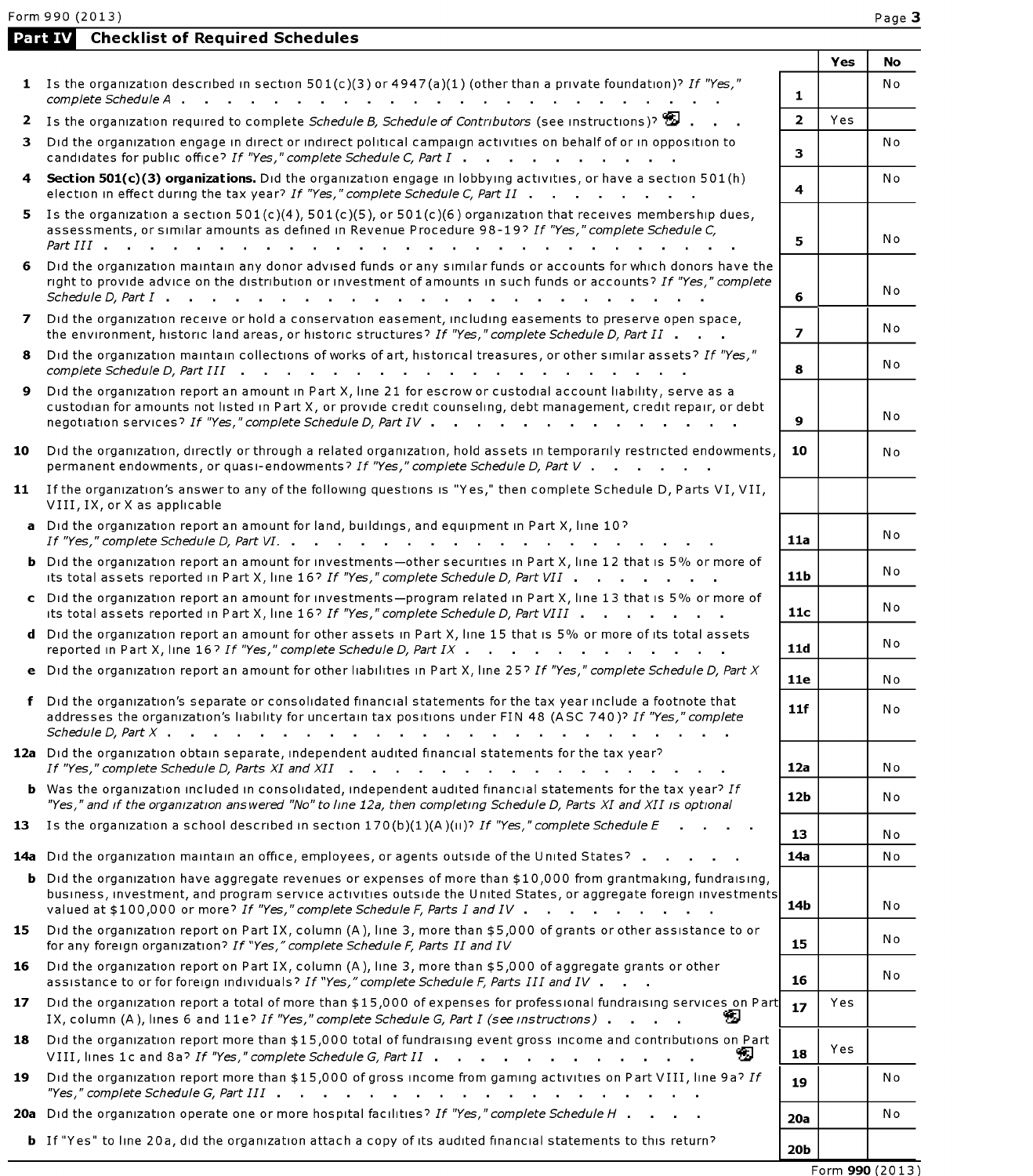Pa

|     | Form 990 (2013)                                                                                                                                                                                                                                                                                                                                                                                                                                                                                                                                                                                                                                                                                                                           |                         |     | Page 3 |
|-----|-------------------------------------------------------------------------------------------------------------------------------------------------------------------------------------------------------------------------------------------------------------------------------------------------------------------------------------------------------------------------------------------------------------------------------------------------------------------------------------------------------------------------------------------------------------------------------------------------------------------------------------------------------------------------------------------------------------------------------------------|-------------------------|-----|--------|
|     | Part IV<br><b>Checklist of Required Schedules</b>                                                                                                                                                                                                                                                                                                                                                                                                                                                                                                                                                                                                                                                                                         |                         |     |        |
|     |                                                                                                                                                                                                                                                                                                                                                                                                                                                                                                                                                                                                                                                                                                                                           |                         | Yes | No     |
|     | 1 Is the organization described in section $501(c)(3)$ or $4947(a)(1)$ (other than a private foundation)? If "Yes,"<br>complete Schedule A .<br>the contract of the contract of the contract of the contract of the contract of the contract of the contract of                                                                                                                                                                                                                                                                                                                                                                                                                                                                           | $\mathbf{1}$            |     | No     |
|     | 2 Is the organization required to complete Schedule B, Schedule of Contributors (see instructions)?                                                                                                                                                                                                                                                                                                                                                                                                                                                                                                                                                                                                                                       | $\overline{2}$          | Yes |        |
| 3   | Did the organization engage in direct or indirect political campaign activities on behalf of or in opposition to<br>candidates for public office? If "Yes," complete Schedule C, Part I                                                                                                                                                                                                                                                                                                                                                                                                                                                                                                                                                   | 3                       |     | No.    |
|     | 4 Section 501(c)(3) organizations. Did the organization engage in lobbying activities, or have a section 501(h)<br>election in effect during the tax year? If "Yes," complete Schedule C, Part II                                                                                                                                                                                                                                                                                                                                                                                                                                                                                                                                         | $\overline{\mathbf{4}}$ |     | No.    |
|     | 5 Is the organization a section $501(c)(4)$ , $501(c)(5)$ , or $501(c)(6)$ organization that receives membership dues,<br>assessments, or similar amounts as defined in Revenue Procedure 98-19? If "Yes," complete Schedule C,<br>Part III                                                                                                                                                                                                                                                                                                                                                                                                                                                                                               | 5                       |     | N o    |
|     | 6 Did the organization maintain any donor advised funds or any similar funds or accounts for which donors have the<br>right to provide advice on the distribution or investment of amounts in such funds or accounts? If "Yes," complete<br>Schedule D, Part I.<br>$\mathbf{r}$ . The set of the set of the set of the set of the set of the set of the set of the set of the set of the set of the set of the set of the set of the set of the set of the set of the set of the set of the set of t<br>$\mathbf{r}$ . The second contribution of the second contribution of the second contribution of the second contribution of the second contribution of the second contribution of the second contribution of the second contributi | 6                       |     | No     |
|     | 7 Did the organization receive or hold a conservation easement, including easements to preserve open space,<br>the environment, historic land areas, or historic structures? If "Yes," complete Schedule D, Part II                                                                                                                                                                                                                                                                                                                                                                                                                                                                                                                       | $\overline{ }$          |     | No.    |
| 8.  | Did the organization maintain collections of works of art, historical treasures, or other similar assets? If "Yes,"<br>complete Schedule D, Part III (a) a material complete Schedule D, Part III (b) (b) a material comparation of the state of the state of the state of the state of the state of the state of the state of the state of the state                                                                                                                                                                                                                                                                                                                                                                                     | 8                       |     | No.    |
| 9.  | Did the organization report an amount in Part X, line 21 for escrow or custodial account liability, serve as a<br>custodian for amounts not listed in Part X, or provide credit counseling, debt management, credit repair, or debt<br>negotiation services? If "Yes," complete Schedule D, Part IV                                                                                                                                                                                                                                                                                                                                                                                                                                       | 9                       |     | No     |
| 10  | Did the organization, directly or through a related organization, hold assets in temporarily restricted endowments,<br>permanent endowments, or quasi-endowments? If "Yes," complete Schedule D, Part V.<br>and the state of the state of the state of                                                                                                                                                                                                                                                                                                                                                                                                                                                                                    | 10                      |     | No.    |
|     | 11 If the organization's answer to any of the following questions is "Yes," then complete Schedule D, Parts VI, VII,<br>VIII, IX, or X as applicable                                                                                                                                                                                                                                                                                                                                                                                                                                                                                                                                                                                      |                         |     |        |
|     | a Did the organization report an amount for land, buildings, and equipment in Part X, line 10?<br>If "Yes," complete Schedule D, Part VI.                                                                                                                                                                                                                                                                                                                                                                                                                                                                                                                                                                                                 | 11a                     |     | N o    |
|     | <b>b</b> Did the organization report an amount for investments-other securities in Part X, line 12 that is 5% or more of<br>its total assets reported in Part X, line 16? If "Yes," complete Schedule D, Part VII                                                                                                                                                                                                                                                                                                                                                                                                                                                                                                                         | 11 <sub>b</sub>         |     | No.    |
|     | c Did the organization report an amount for investments-program related in Part X, line 13 that is 5% or more of<br>its total assets reported in Part X, line 16? If "Yes," complete Schedule D, Part VIII                                                                                                                                                                                                                                                                                                                                                                                                                                                                                                                                | 11c                     |     | No.    |
|     | d Did the organization report an amount for other assets in Part X, line 15 that is 5% or more of its total assets<br>reported in Part X, line 16? If "Yes," complete Schedule D, Part IX .<br>the contract of the contract of the                                                                                                                                                                                                                                                                                                                                                                                                                                                                                                        | 11d                     |     | No.    |
|     | e Did the organization report an amount for other liabilities in Part X, line 25? If "Yes," complete Schedule D, Part X                                                                                                                                                                                                                                                                                                                                                                                                                                                                                                                                                                                                                   | <b>11e</b>              |     | No.    |
|     | f Did the organization's separate or consolidated financial statements for the tax year include a footnote that<br>addresses the organization's liability for uncertain tax positions under FIN 48 (ASC 740)? If "Yes," complete<br>Schedule D, Part X.                                                                                                                                                                                                                                                                                                                                                                                                                                                                                   | 11f                     |     | No     |
|     | 12a Did the organization obtain separate, independent audited financial statements for the tax year?<br>If "Yes," complete Schedule D, Parts XI and XII $\cdots$ $\cdots$ $\cdots$ $\cdots$ $\cdots$                                                                                                                                                                                                                                                                                                                                                                                                                                                                                                                                      | 12a                     |     | No.    |
|     | <b>b</b> Was the organization included in consolidated, independent audited financial statements for the tax year? If<br>"Yes," and if the organization answered "No" to line 12a, then completing Schedule D, Parts XI and XII is optional                                                                                                                                                                                                                                                                                                                                                                                                                                                                                               | 12b                     |     | No     |
| 13  | Is the organization a school described in section 170(b)(1)(A)(ii) <sup>2</sup> If "Yes," complete Schedule E                                                                                                                                                                                                                                                                                                                                                                                                                                                                                                                                                                                                                             | 13                      |     | No     |
| 14a | Did the organization maintain an office, employees, or agents outside of the United States?                                                                                                                                                                                                                                                                                                                                                                                                                                                                                                                                                                                                                                               | 14a                     |     | No.    |
|     | <b>b</b> Did the organization have aggregate revenues or expenses of more than \$10,000 from grantmaking, fundraising,<br>business, investment, and program service activities outside the United States, or aggregate foreign investments<br>valued at \$100,000 or more? If "Yes," complete Schedule F, Parts I and IV                                                                                                                                                                                                                                                                                                                                                                                                                  | 14b                     |     | No     |
| 15  | Did the organization report on Part IX, column (A), line 3, more than \$5,000 of grants or other assistance to or<br>for any foreign organization? If "Yes," complete Schedule F, Parts II and IV                                                                                                                                                                                                                                                                                                                                                                                                                                                                                                                                         | 15                      |     | N o    |
| 16  | Did the organization report on Part IX, column (A), line 3, more than \$5,000 of aggregate grants or other<br>assistance to or for foreign individuals? If "Yes," complete Schedule F, Parts III and IV                                                                                                                                                                                                                                                                                                                                                                                                                                                                                                                                   | 16                      |     | No.    |

| 17   Ye' Did the organization report a total of more than \$15,000 of expenses for professional fundraising services on Part $\frac{17}{17}$   Ye' |  |
|----------------------------------------------------------------------------------------------------------------------------------------------------|--|
| IX, column $(A)$ , lines 6 and 11e? If "Yes," complete Schedule G, Part I (see instructions) $\blacksquare$ .                                      |  |
|                                                                                                                                                    |  |

18 Did the organization report more than \$15,000 total of fundraising event gross income and contributions on Part VIII, lines 1c and 8a? If "Yes, " complete Schedule G, Part II . . . . . . . . . . .  $\mathbf{E}$  | 18  $\vert$  <sup>Yes</sup> 19 Did the organization report more than \$15,000 of gross income from gaming activities on Part VIII, line 9a? If  $\parallel$  19  $\parallel$  No "Yes," complete Schedule G, Part III . . . . . . . . . . . . . . . . . . .

**20a** Did the organization operate one or more hospital facilities? If "Yes," complete Schedule H . . . .  $\qquad \qquad \begin{array}{c} \text{20a} \end{array}$  No

b If "Yes" to line 20a, did the organization attach a copy of its audited financial statements to this return?

Form 990 (2013)

20b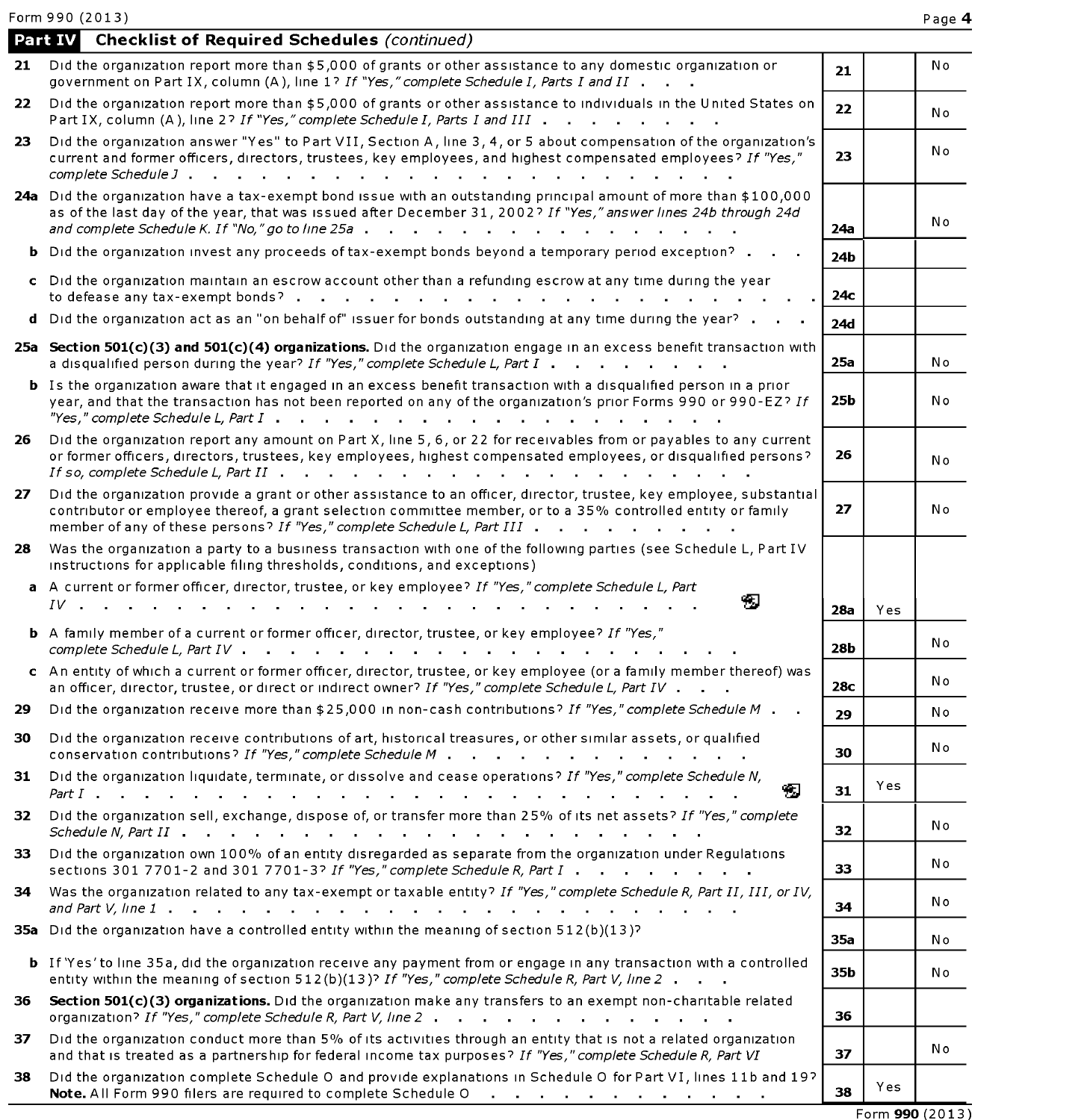Form 990 (2013) Page 4

|      | <b>Part IV</b> Checklist of Required Schedules (continued)                                                                                                                                                                                                                                                                                                          |            |     |     |
|------|---------------------------------------------------------------------------------------------------------------------------------------------------------------------------------------------------------------------------------------------------------------------------------------------------------------------------------------------------------------------|------------|-----|-----|
|      | 21 Did the organization report more than \$5,000 of grants or other assistance to any domestic organization or<br>government on Part IX, column (A), line 1? If "Yes," complete Schedule I, Parts I and II                                                                                                                                                          | 21         |     | Νo  |
| 22.  | Did the organization report more than \$5,000 of grants or other assistance to individuals in the United States on<br>Part IX, column (A), line 2? If "Yes," complete Schedule I, Parts I and III                                                                                                                                                                   | 22         |     | No  |
| 23.  | Did the organization answer "Yes" to Part VII, Section A, line 3, 4, or 5 about compensation of the organization's<br>current and former officers, directors, trustees, key employees, and highest compensated employees? If "Yes,"                                                                                                                                 | 23         |     | N o |
|      | 24a Did the organization have a tax-exempt bond issue with an outstanding principal amount of more than \$100,000<br>as of the last day of the year, that was issued after December 31, 2002? If "Yes," answer lines 24b through 24d<br>and complete Schedule K. If "No," go to line 25a $\ldots$ , $\ldots$ , $\ldots$ , $\ldots$ , $\ldots$ , $\ldots$ , $\ldots$ | 24a        |     | N o |
|      | <b>b</b> Did the organization invest any proceeds of tax-exempt bonds beyond a temporary period exception?                                                                                                                                                                                                                                                          | 24b        |     |     |
|      | c Did the organization maintain an escrow account other than a refunding escrow at any time during the year                                                                                                                                                                                                                                                         | 24c        |     |     |
|      | d Did the organization act as an "on behalf of" issuer for bonds outstanding at any time during the year?                                                                                                                                                                                                                                                           | 24d        |     |     |
|      | 25a Section 501(c)(3) and 501(c)(4) organizations. Did the organization engage in an excess benefit transaction with<br>a disqualified person during the year? If "Yes," complete Schedule L, Part I                                                                                                                                                                | <b>25a</b> |     | N٥  |
|      | <b>b</b> Is the organization aware that it engaged in an excess benefit transaction with a disqualified person in a prior<br>year, and that the transaction has not been reported on any of the organization's prior Forms 990 or 990-EZ? If                                                                                                                        | 25b        |     | No  |
| 26.  | Did the organization report any amount on Part X, line 5, 6, or 22 for receivables from or payables to any current<br>or former officers, directors, trustees, key employees, highest compensated employees, or disqualified persons?                                                                                                                               | 26         |     | N o |
| 27   | Did the organization provide a grant or other assistance to an officer, director, trustee, key employee, substantial<br>contributor or employee thereof, a grant selection committee member, or to a 35% controlled entity or family<br>member of any of these persons? If "Yes," complete Schedule L, Part III                                                     | 27         |     | Νo  |
| 28   | Was the organization a party to a business transaction with one of the following parties (see Schedule L, Part IV<br>instructions for applicable filing thresholds, conditions, and exceptions)                                                                                                                                                                     |            |     |     |
|      | a A current or former officer, director, trustee, or key employee? If "Yes," complete Schedule L, Part<br>宄<br>$IV$<br>$\sim 10^{-1}$                                                                                                                                                                                                                               | 28a        | Yes |     |
|      | <b>b</b> A family member of a current or former officer, director, trustee, or key employee? If "Yes,"                                                                                                                                                                                                                                                              | 28b        |     | No  |
|      | c An entity of which a current or former officer, director, trustee, or key employee (or a family member thereof) was<br>an officer, director, trustee, or direct or indirect owner? If "Yes," complete Schedule L, Part IV                                                                                                                                         | 28c        |     | Νo  |
| 29   | Did the organization receive more than \$25,000 in non-cash contributions? If "Yes," complete Schedule M                                                                                                                                                                                                                                                            | 29         |     | No  |
| 30   | Did the organization receive contributions of art, historical treasures, or other similar assets, or qualified<br>conservation contributions? If "Yes," complete Schedule M                                                                                                                                                                                         | 30         |     | No  |
|      | 31 Did the organization liquidate, terminate, or dissolve and cease operations? If "Yes," complete Schedule N,<br>Ð                                                                                                                                                                                                                                                 | 31         | Yes |     |
| 32   | Did the organization sell, exchange, dispose of, or transfer more than 25% of its net assets? If "Yes," complete<br>Schedule N, Part $II$ $\cdots$ $\cdots$ $\cdots$ $\cdots$ $\cdots$ $\cdots$ $\cdots$ $\cdots$ $\cdots$ $\cdots$                                                                                                                                 | 32         |     | No  |
| 33 - | Did the organization own 100% of an entity disregarded as separate from the organization under Regulations<br>sections 301 7701-2 and 301 7701-3? If "Yes," complete Schedule R, Part I                                                                                                                                                                             | 33         |     | N o |
| 34   | Was the organization related to any tax-exempt or taxable entity? If "Yes," complete Schedule R, Part II, III, or IV,                                                                                                                                                                                                                                               | 34         |     | Νo  |
|      | 35a Did the organization have a controlled entity within the meaning of section 512(b)(13)?                                                                                                                                                                                                                                                                         | 35a        |     | No  |
|      | <b>b</b> If 'Yes' to line 35a, did the organization receive any payment from or engage in any transaction with a controlled<br>entity within the meaning of section 512(b)(13)? If "Yes," complete Schedule R, Part V, line 2                                                                                                                                       | 35b        |     | No  |
| 36   | Section 501(c)(3) organizations. Did the organization make any transfers to an exempt non-charitable related<br>organization? If "Yes," complete Schedule R, Part V, line 2                                                                                                                                                                                         | 36         |     |     |
| 37   | Did the organization conduct more than 5% of its activities through an entity that is not a related organization<br>and that is treated as a partnership for federal income tax purposes? If "Yes," complete Schedule R, Part VI                                                                                                                                    | 37         |     | Νo  |
| 38   | Did the organization complete Schedule O and provide explanations in Schedule O for Part VI, lines 11b and 197<br>Note. All Form 990 filers are required to complete Schedule O                                                                                                                                                                                     | 38         | Yes |     |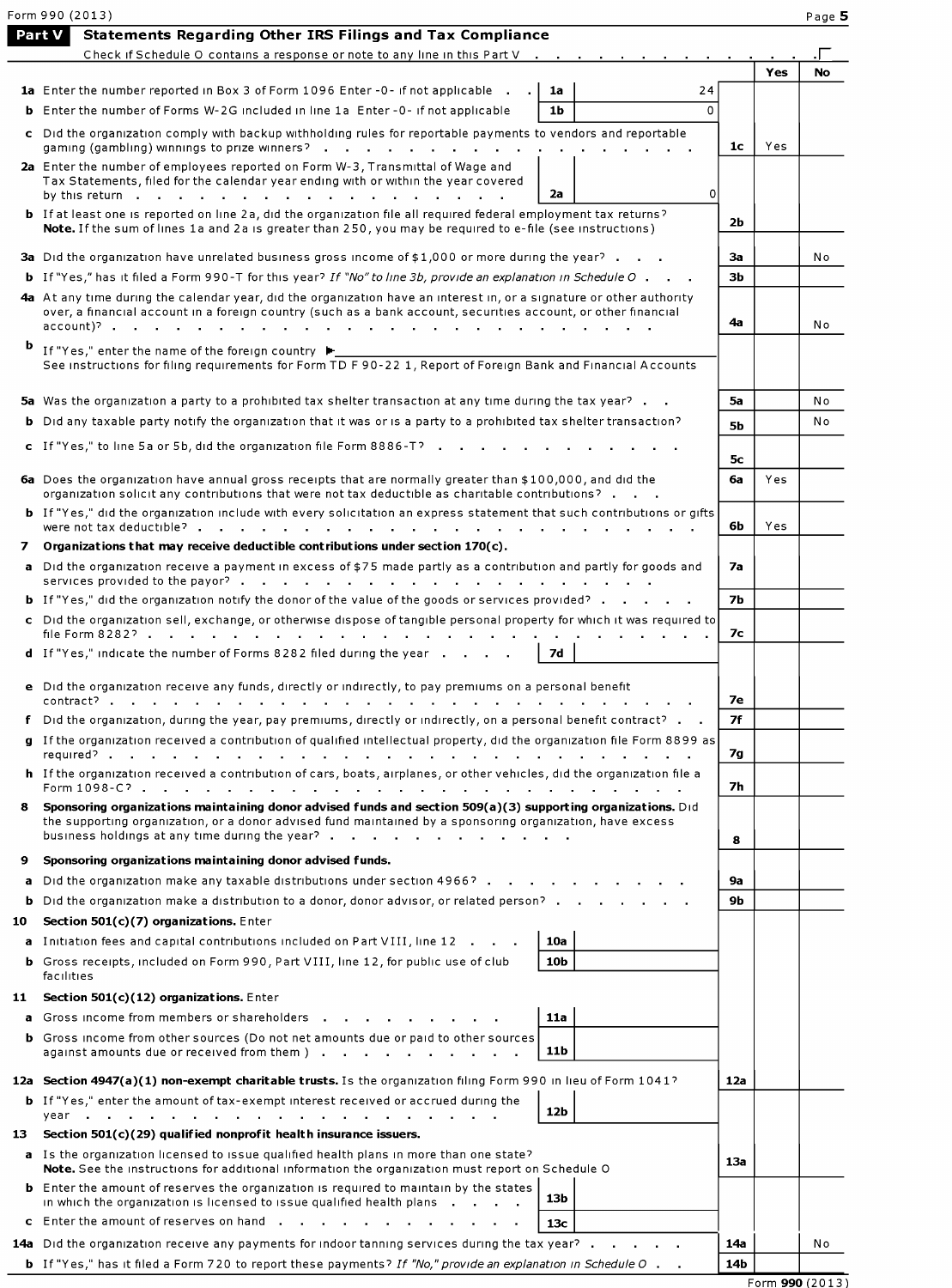|     | Form 990 (2013)                                                                                                                                                                                                                                                                     |     |     | Page 5    |
|-----|-------------------------------------------------------------------------------------------------------------------------------------------------------------------------------------------------------------------------------------------------------------------------------------|-----|-----|-----------|
|     | Part V<br><b>Statements Regarding Other IRS Filings and Tax Compliance</b>                                                                                                                                                                                                          |     |     |           |
|     | Check if Schedule O contains a response or note to any line in this Part V                                                                                                                                                                                                          |     |     |           |
|     |                                                                                                                                                                                                                                                                                     |     | Yes | <b>No</b> |
|     | 1a Enter the number reported in Box 3 of Form 1096 Enter -0- if not applicable .<br>1a<br>24                                                                                                                                                                                        |     |     |           |
|     | <b>b</b> Enter the number of Forms W-2G included in line 1a Enter -0- if not applicable<br>1 <sub>b</sub><br>0                                                                                                                                                                      |     |     |           |
|     | c Did the organization comply with backup withholding rules for reportable payments to vendors and reportable<br>gaming (gambling) winnings to prize winners? $\cdots$                                                                                                              | 1c  | Yes |           |
|     | 2a Enter the number of employees reported on Form W-3, Transmittal of Wage and<br>Tax Statements, filed for the calendar year ending with or within the year covered<br>0<br>2a                                                                                                     |     |     |           |
|     | <b>b</b> If at least one is reported on line 2a, did the organization file all required federal employment tax returns?                                                                                                                                                             |     |     |           |
|     | Note. If the sum of lines 1a and 2a is greater than 250, you may be required to e-file (see instructions)                                                                                                                                                                           | 2b  |     |           |
|     | 3a Did the organization have unrelated business gross income of \$1,000 or more during the year?                                                                                                                                                                                    | За  |     | No.       |
|     | <b>b</b> If "Yes," has it filed a Form 990-T for this year? If "No" to line 3b, provide an explanation in Schedule O                                                                                                                                                                | Зb  |     |           |
|     | 4a At any time during the calendar year, did the organization have an interest in, or a signature or other authority                                                                                                                                                                |     |     |           |
|     | over, a financial account in a foreign country (such as a bank account, securities account, or other financial<br>$\mathbf{r} = \mathbf{r}$ , $\mathbf{r} = \mathbf{r}$                                                                                                             | 4a  |     | No.       |
| b   | If "Yes," enter the name of the foreign country<br>See instructions for filing requirements for Form TD F 90-22 1, Report of Foreign Bank and Financial Accounts                                                                                                                    |     |     |           |
|     | 5a Was the organization a party to a prohibited tax shelter transaction at any time during the tax year?                                                                                                                                                                            | 5а  |     | N٥        |
|     | <b>b</b> Did any taxable party notify the organization that it was or is a party to a prohibited tax shelter transaction?                                                                                                                                                           | 5b  |     | Νo        |
|     | c If "Yes," to line 5a or 5b, did the organization file Form 8886-T?                                                                                                                                                                                                                |     |     |           |
|     |                                                                                                                                                                                                                                                                                     | 5с  |     |           |
|     | 6a Does the organization have annual gross receipts that are normally greater than \$100,000, and did the<br>organization solicit any contributions that were not tax deductible as charitable contributions?                                                                       | 6a  | Yes |           |
|     | <b>b</b> If "Yes," did the organization include with every solicitation an express statement that such contributions or gifts<br>were not tax deductible?                                                                                                                           | 6b  | Yes |           |
| 7.  | Organizations that may receive deductible contributions under section $170(c)$ .                                                                                                                                                                                                    |     |     |           |
|     | a Did the organization receive a payment in excess of \$75 made partly as a contribution and partly for goods and<br>services provided to the payor?                                                                                                                                | 7a  |     |           |
|     | <b>b</b> If "Yes," did the organization notify the donor of the value of the goods or services provided?                                                                                                                                                                            | 7b  |     |           |
|     | c Did the organization sell, exchange, or otherwise dispose of tangible personal property for which it was required to<br>file Form 8282?                                                                                                                                           | 7с  |     |           |
|     | d If "Yes," indicate the number of Forms 8282 filed during the year<br>7d                                                                                                                                                                                                           |     |     |           |
|     | e Did the organization receive any funds, directly or indirectly, to pay premiums on a personal benefit                                                                                                                                                                             | 7е  |     |           |
|     | f Did the organization, during the year, pay premiums, directly or indirectly, on a personal benefit contract?                                                                                                                                                                      | 7f  |     |           |
|     | g If the organization received a contribution of qualified intellectual property, did the organization file Form 8899 as                                                                                                                                                            | 7g  |     |           |
|     | h If the organization received a contribution of cars, boats, airplanes, or other vehicles, did the organization file a                                                                                                                                                             | 7h  |     |           |
| 8.  | Sponsoring organizations maintaining donor advised funds and section 509(a)(3) supporting organizations. Did<br>the supporting organization, or a donor advised fund maintained by a sponsoring organization, have excess<br>business holdings at any time during the year? $\cdot$ | 8   |     |           |
| 9   | Sponsoring organizations maintaining donor advised funds.                                                                                                                                                                                                                           |     |     |           |
| a   | Did the organization make any taxable distributions under section 4966?                                                                                                                                                                                                             | 9а  |     |           |
| b   | Did the organization make a distribution to a donor, donor advisor, or related person?                                                                                                                                                                                              | 9b  |     |           |
| 10  | Section 501(c)(7) organizations. Enter                                                                                                                                                                                                                                              |     |     |           |
| a   | Initiation fees and capital contributions included on Part VIII, line 12<br>10a                                                                                                                                                                                                     |     |     |           |
|     | <b>b</b> Gross receipts, included on Form 990, Part VIII, line 12, for public use of club<br>10b<br>facilities                                                                                                                                                                      |     |     |           |
| 11  | Section 501(c)(12) organizations. Enter                                                                                                                                                                                                                                             |     |     |           |
|     | a Gross income from members or shareholders<br>11a                                                                                                                                                                                                                                  |     |     |           |
|     | <b>b</b> Gross income from other sources (Do not net amounts due or paid to other sources<br>11b<br>against amounts due or received from them $\}$                                                                                                                                  |     |     |           |
|     | 12a Section 4947(a)(1) non-exempt charitable trusts. Is the organization filing Form 990 in lieu of Form 1041?                                                                                                                                                                      | 12a |     |           |
|     | <b>b</b> If "Yes," enter the amount of tax-exempt interest received or accrued during the<br>12 <sub>b</sub><br>year research and the series of the series of the series of the series of the series of the series of the series                                                    |     |     |           |
| 13. | Section 501(c)(29) qualified nonprofit health insurance issuers.                                                                                                                                                                                                                    |     |     |           |
|     | a Is the organization licensed to issue qualified health plans in more than one state?<br>Note. See the instructions for additional information the organization must report on Schedule O                                                                                          | 13a |     |           |
|     | <b>b</b> Enter the amount of reserves the organization is required to maintain by the states<br>13b<br>in which the organization is licensed to issue qualified health plans                                                                                                        |     |     |           |
|     | <b>c</b> Enter the amount of reserves on hand.<br>13с                                                                                                                                                                                                                               |     |     |           |
|     | 14a Did the organization receive any payments for indoor tanning services during the tax year?                                                                                                                                                                                      | 14a |     | N٥        |
|     | b If "Yes," has it filed a Form 720 to report these payments? If "No," provide an explanation in Schedule O.                                                                                                                                                                        | 14b |     |           |
|     |                                                                                                                                                                                                                                                                                     |     |     |           |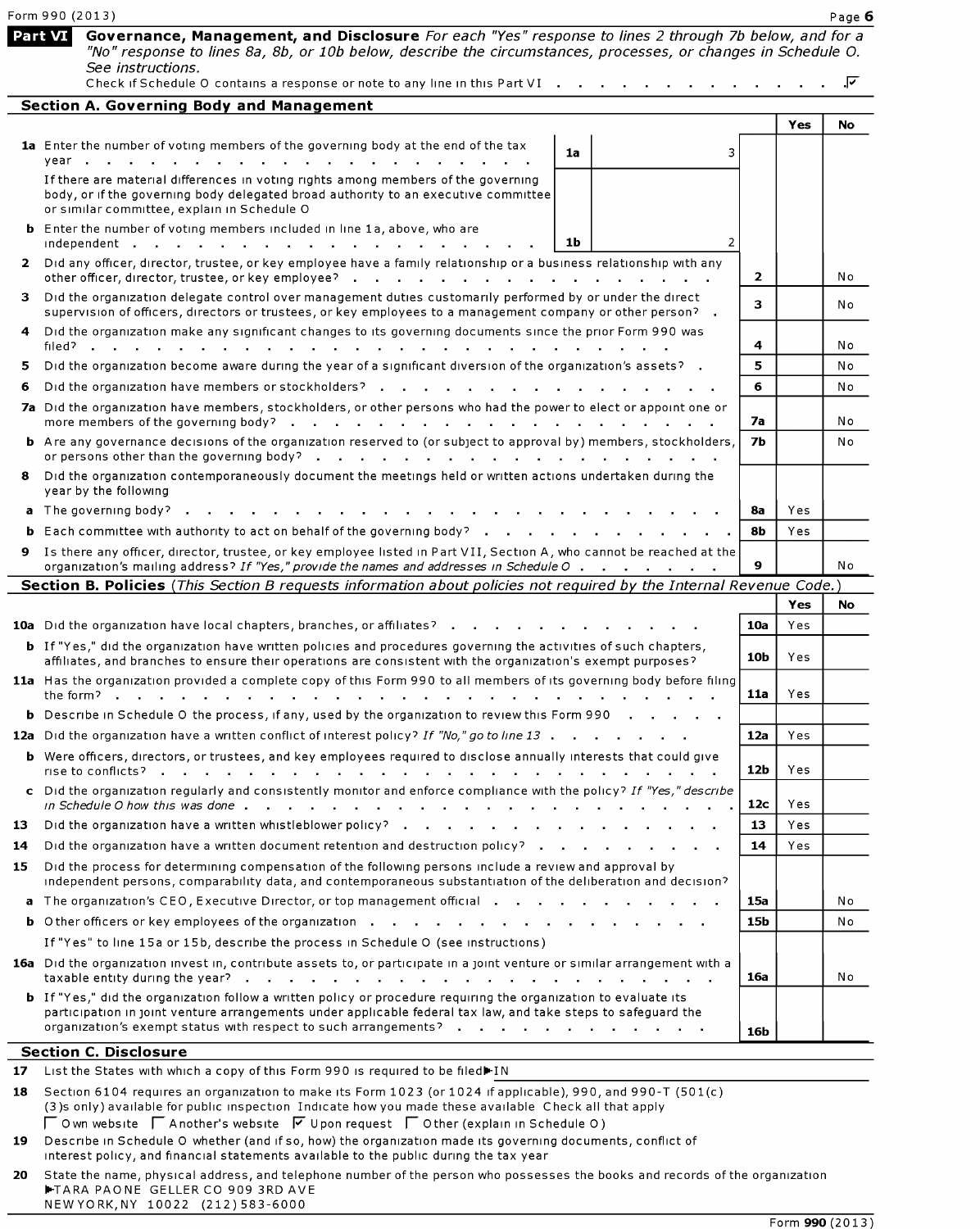|              | Form 990 (2013)                                                                                                                                                                                                                                                                                                                       |              |            | Page 6 |
|--------------|---------------------------------------------------------------------------------------------------------------------------------------------------------------------------------------------------------------------------------------------------------------------------------------------------------------------------------------|--------------|------------|--------|
|              | Governance, Management, and Disclosure For each "Yes" response to lines 2 through 7b below, and for a<br>Part VI<br>"No" response to lines 8a, 8b, or 10b below, describe the circumstances, processes, or changes in Schedule O.<br>See instructions.<br>Check if Schedule O contains a response or note to any line in this Part VI |              |            | .⊽     |
|              | <b>Section A. Governing Body and Management</b>                                                                                                                                                                                                                                                                                       |              |            |        |
|              |                                                                                                                                                                                                                                                                                                                                       |              | Yes        | No     |
|              | 1a Enter the number of voting members of the governing body at the end of the tax<br>1a<br>3<br>vear                                                                                                                                                                                                                                  |              |            |        |
|              | If there are material differences in voting rights among members of the governing<br>body, or if the governing body delegated broad authority to an executive committee<br>or similar committee, explain in Schedule O                                                                                                                |              |            |        |
|              | <b>b</b> Enter the number of voting members included in line 1a, above, who are<br>1b<br>independent                                                                                                                                                                                                                                  |              |            |        |
| $\mathbf{2}$ | Did any officer, director, trustee, or key employee have a family relationship or a business relationship with any<br>other officer, director, trustee, or key employee?.<br>the contract of the contract of the contract of the contract of the contract of the contract of the contract of                                          | $\mathbf{2}$ |            | No     |
| з.           | Did the organization delegate control over management duties customarily performed by or under the direct<br>supervision of officers, directors or trustees, or key employees to a management company or other person? .                                                                                                              | 3            |            | No     |
| 4            | Did the organization make any significant changes to its governing documents since the prior Form 990 was<br>filed? .                                                                                                                                                                                                                 | 4            |            | N o    |
| 5            | Did the organization become aware during the year of a significant diversion of the organization's assets? .                                                                                                                                                                                                                          | 5            |            | No     |
| 6            | Did the organization have members or stockholders?                                                                                                                                                                                                                                                                                    | 6            |            | No     |
|              | 7a Did the organization have members, stockholders, or other persons who had the power to elect or appoint one or<br>more members of the governing body?                                                                                                                                                                              | 7а           |            | No     |
|              | <b>b</b> Are any governance decisions of the organization reserved to (or subject to approval by) members, stockholders,<br>or persons other than the governing body? $\cdot \cdot \cdot \cdot \cdot \cdot \cdot \cdot \cdot \cdot \cdot \cdot \cdot \cdot \cdot \cdot$                                                               | <b>7b</b>    |            | No     |
| 8            | Did the organization contemporaneously document the meetings held or written actions undertaken during the<br>year by the following                                                                                                                                                                                                   |              |            |        |
|              | a The governing body?                                                                                                                                                                                                                                                                                                                 | 8a           | Yes        |        |
|              | <b>b</b> Each committee with authority to act on behalf of the governing body?                                                                                                                                                                                                                                                        | 8b           | Yes        |        |
| 9.           | Is there any officer, director, trustee, or key employee listed in Part VII, Section A, who cannot be reached at the                                                                                                                                                                                                                  |              |            |        |
|              | organization's mailing address? If "Yes," provide the names and addresses in Schedule O                                                                                                                                                                                                                                               | 9            |            | No     |
|              | Section B. Policies (This Section B requests information about policies not required by the Internal Revenue Code.)                                                                                                                                                                                                                   |              | Yes        | No     |
|              | 10a Did the organization have local chapters, branches, or affiliates?                                                                                                                                                                                                                                                                | 10a          | Yes        |        |
|              |                                                                                                                                                                                                                                                                                                                                       |              |            |        |
|              | <b>b</b> If "Yes," did the organization have written policies and procedures governing the activities of such chapters,<br>affiliates, and branches to ensure their operations are consistent with the organization's exempt purposes?                                                                                                | 10b          | Y es       |        |
|              | 11a Has the organization provided a complete copy of this Form 990 to all members of its governing body before filing<br>the form?.                                                                                                                                                                                                   | 11a          | Yes        |        |
|              | <b>b</b> Describe in Schedule O the process, if any, used by the organization to review this Form 990                                                                                                                                                                                                                                 |              |            |        |
|              | 12a Did the organization have a written conflict of interest policy? If "No," go to line 13<br><b>b</b> Were officers, directors, or trustees, and key employees required to disclose annually interests that could give                                                                                                              | 12a          | Yes        |        |
|              |                                                                                                                                                                                                                                                                                                                                       | 12b          | Yes        |        |
|              | c Did the organization regularly and consistently monitor and enforce compliance with the policy? If "Yes," describe                                                                                                                                                                                                                  | 12c          | Yes        |        |
| 13.          | Did the organization have a written whistleblower policy? $\cdot \cdot \cdot \cdot \cdot$                                                                                                                                                                                                                                             | 13           | Yes        |        |
| 14           | Did the organization have a written document retention and destruction policy?                                                                                                                                                                                                                                                        | 14           | <b>Yes</b> |        |
| 15           | Did the process for determining compensation of the following persons include a review and approval by<br>independent persons, comparability data, and contemporaneous substantiation of the deliberation and decision?                                                                                                               |              |            |        |
|              | a The organization's CEO, Executive Director, or top management official                                                                                                                                                                                                                                                              | 15a          |            | Νo     |
|              |                                                                                                                                                                                                                                                                                                                                       | 15b          |            | Νo     |
|              | If "Yes" to line 15a or 15b, describe the process in Schedule O (see instructions)                                                                                                                                                                                                                                                    |              |            |        |
|              | 16a Did the organization invest in, contribute assets to, or participate in a joint venture or similar arrangement with a<br>taxable entity during the year?<br>the contract of the contract of the                                                                                                                                   | 16a          |            | No     |
|              | <b>b</b> If "Yes," did the organization follow a written policy or procedure requiring the organization to evaluate its<br>participation in joint venture arrangements under applicable federal tax law, and take steps to safeguard the                                                                                              |              |            |        |
|              | organization's exempt status with respect to such arrangements?                                                                                                                                                                                                                                                                       | 16 <b>b</b>  |            |        |
|              | <b>Section C. Disclosure</b>                                                                                                                                                                                                                                                                                                          |              |            |        |
| 17           | List the States with which a copy of this Form 990 is required to be filed <sup>1</sup> IN                                                                                                                                                                                                                                            |              |            |        |
| 18           | Section 6104 requires an organization to make its Form 1023 (or 1024 if applicable), 990, and 990-T (501(c)<br>(3) s only) available for public inspection. Indicate how you made these available. Check all that apply                                                                                                               |              |            |        |

(3)s only) available for public inspection Indicate how you made these available Check all that apply<br> $\Box$  O wn website  $\Box$  Another's website  $\Box$  Upon request  $\Box$  Other (explain in Schedule O )

19 Describe in Schedule O whether (and if so, how) the organization made its governing documents, conflict of interest policy, and financial statements available to the public during the tax year

 ${\bf 20}$   $\,$  State the name, physical address, and telephone number of the person who possesses the books and records of the organization -TARA PAONE GELLER CO 909 3RD AVE NEWYORK,NY 10022 (212)583-6000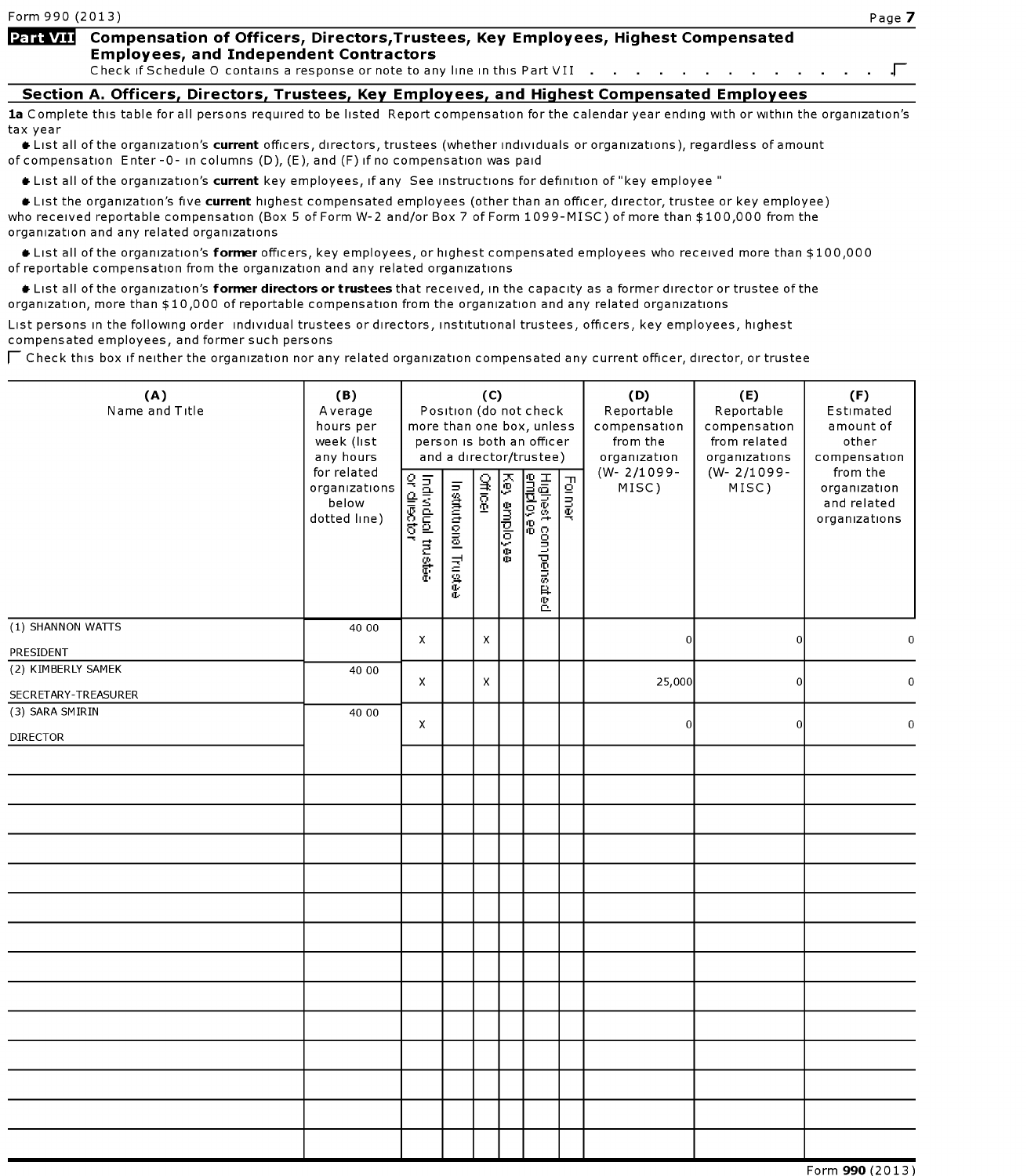### Part VII Compensation of Officers, Directors, Trustees, Key Employees, Highest Compensated Employees, and Independent Contractors

Check if Schedule O contains a response or note to any line in this Part VII . . . . . . . . . . . . . .  $\Box$ 

#### Section A. Officers, Directors, Trustees, Kev Employees, and Highest Compensated Employees

1a Complete this table for all persons required to be listed Report compensation for the calendar year ending with or within the organization's tax year

 $\bullet$  List all of the organization's current officers, directors, trustees (whether individuals or organizations), regardless of amount of compensation Enter-0- in columns (D), (E), and (F) if no compensation was paid

\* List all of the organization 's current key employees, if any See instructions for definition of "key employee "

\* List the organization's five current highest compensated employees (other than an officer, director, trustee or key employee) who received reportable compensation (Box <sup>5</sup> of Form W-2 and/or Box <sup>7</sup> of Form 1099-MISC) of more than \$100,000 from the organization and any related organizations

 $\bullet$  List all of the organization's former officers, key employees, or highest compensated employees who received more than \$100,000 of reportable compensation from the organization and any related organizations

Itst all of the organization's former directors or trustees that received, in the capacity as a former director or trustee of the organization, more than \$10,000 of reportable compensation from the organization and any related organizations

List persons in the following order individual trustees or directors, institutional trustees, officers, key employees, highest compensated employees, and former such persons

 $\Gamma$  Check this box if neither the organization nor any related organization compensated any current officer, director, or trustee

| (A)<br>Name and Title              | (B)<br>Average<br>hours per<br>week (list<br>any hours<br>for related<br>organizations<br>below<br>dotted line) | more than one box, unless<br>Individual trustee<br>or diisctor | Institutional Trustee | (C)<br><b>Officer</b> | Key employee | Position (do not check<br>person is both an officer<br>and a director/trustee)<br>Highest compensated<br><u>employee</u> | Former | (D)<br>Reportable<br>compensation<br>from the<br>organization<br>(W-2/1099-<br>MISC) | (E)<br>Reportable<br>compensation<br>from related<br>organizations<br>(W-2/1099-<br>MISC) | (F)<br>Estimated<br>amount of<br>other<br>compensation<br>from the<br>organization<br>and related<br>organizations |
|------------------------------------|-----------------------------------------------------------------------------------------------------------------|----------------------------------------------------------------|-----------------------|-----------------------|--------------|--------------------------------------------------------------------------------------------------------------------------|--------|--------------------------------------------------------------------------------------|-------------------------------------------------------------------------------------------|--------------------------------------------------------------------------------------------------------------------|
| (1) SHANNON WATTS                  | 40 00                                                                                                           | x                                                              |                       | X                     |              |                                                                                                                          |        | 0                                                                                    | $\overline{0}$                                                                            | $\boldsymbol{0}$                                                                                                   |
| PRESIDENT<br>(2) KIMBERLY SAMEK    | 40 00                                                                                                           |                                                                |                       |                       |              |                                                                                                                          |        |                                                                                      |                                                                                           |                                                                                                                    |
| SECRETARY-TREASURER                |                                                                                                                 | X                                                              |                       | X                     |              |                                                                                                                          |        | 25,000                                                                               | $\overline{0}$                                                                            | $\boldsymbol{0}$                                                                                                   |
| (3) SARA SMIRIN<br><b>DIRECTOR</b> | 40 00                                                                                                           | X                                                              |                       |                       |              |                                                                                                                          |        | $\mathbf 0$                                                                          | $\overline{0}$                                                                            | $\mathbf 0$                                                                                                        |
|                                    |                                                                                                                 |                                                                |                       |                       |              |                                                                                                                          |        |                                                                                      |                                                                                           |                                                                                                                    |
|                                    |                                                                                                                 |                                                                |                       |                       |              |                                                                                                                          |        |                                                                                      |                                                                                           |                                                                                                                    |
|                                    |                                                                                                                 |                                                                |                       |                       |              |                                                                                                                          |        |                                                                                      |                                                                                           |                                                                                                                    |
|                                    |                                                                                                                 |                                                                |                       |                       |              |                                                                                                                          |        |                                                                                      |                                                                                           |                                                                                                                    |
|                                    |                                                                                                                 |                                                                |                       |                       |              |                                                                                                                          |        |                                                                                      |                                                                                           |                                                                                                                    |
|                                    |                                                                                                                 |                                                                |                       |                       |              |                                                                                                                          |        |                                                                                      |                                                                                           |                                                                                                                    |
|                                    |                                                                                                                 |                                                                |                       |                       |              |                                                                                                                          |        |                                                                                      |                                                                                           |                                                                                                                    |
|                                    |                                                                                                                 |                                                                |                       |                       |              |                                                                                                                          |        |                                                                                      |                                                                                           |                                                                                                                    |
|                                    |                                                                                                                 |                                                                |                       |                       |              |                                                                                                                          |        |                                                                                      |                                                                                           |                                                                                                                    |
|                                    |                                                                                                                 |                                                                |                       |                       |              |                                                                                                                          |        |                                                                                      |                                                                                           |                                                                                                                    |
|                                    |                                                                                                                 |                                                                |                       |                       |              |                                                                                                                          |        |                                                                                      |                                                                                           |                                                                                                                    |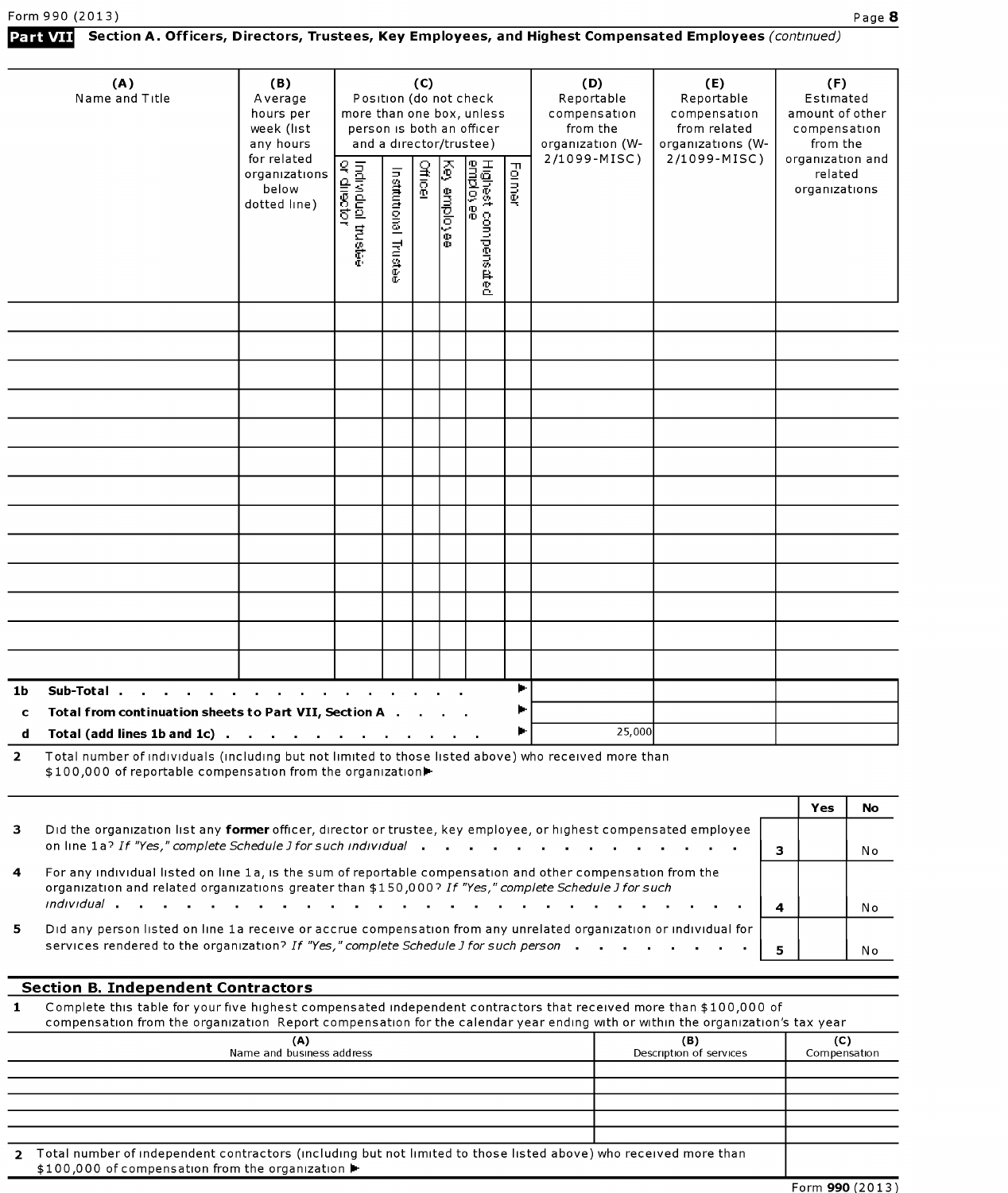#### Section A. Officers, Directors, Trustees, Key Employees, and Highest Compensated Employees (continued) Part VII

|                | (A)<br>Name and Title                                                                                                                                                                                                | (B)<br>Average<br>hours per<br>week (list<br>any hours |                                                                                |  | (C)           |                                                       | Position (do not check<br>more than one box, unless<br>person is both an officer<br>and a director/trustee) |              | (D)<br>Reportable<br>compensation<br>from the<br>organization (W- | (E)<br>Reportable<br>compensation<br>from related<br>organizations (W- |                                              | (F)<br>Estimated<br>amount of other<br>compensation<br>from the |    |
|----------------|----------------------------------------------------------------------------------------------------------------------------------------------------------------------------------------------------------------------|--------------------------------------------------------|--------------------------------------------------------------------------------|--|---------------|-------------------------------------------------------|-------------------------------------------------------------------------------------------------------------|--------------|-------------------------------------------------------------------|------------------------------------------------------------------------|----------------------------------------------|-----------------------------------------------------------------|----|
|                |                                                                                                                                                                                                                      | for related<br>organizations<br>below<br>dotted line)  | Individual trustee<br>or diiector<br><b>Officer</b><br>Institutional<br>Fustee |  | š<br>enployee | Highest compens <i>a</i> t<br>employee<br>$\mathbb E$ | Former                                                                                                      | 2/1099-MISC) | 2/1099-MISC)                                                      |                                                                        | organization and<br>related<br>organizations |                                                                 |    |
|                |                                                                                                                                                                                                                      |                                                        |                                                                                |  |               |                                                       |                                                                                                             |              |                                                                   |                                                                        |                                              |                                                                 |    |
|                |                                                                                                                                                                                                                      |                                                        |                                                                                |  |               |                                                       |                                                                                                             |              |                                                                   |                                                                        |                                              |                                                                 |    |
|                |                                                                                                                                                                                                                      |                                                        |                                                                                |  |               |                                                       |                                                                                                             |              |                                                                   |                                                                        |                                              |                                                                 |    |
|                |                                                                                                                                                                                                                      |                                                        |                                                                                |  |               |                                                       |                                                                                                             |              |                                                                   |                                                                        |                                              |                                                                 |    |
|                |                                                                                                                                                                                                                      |                                                        |                                                                                |  |               |                                                       |                                                                                                             |              |                                                                   |                                                                        |                                              |                                                                 |    |
|                |                                                                                                                                                                                                                      |                                                        |                                                                                |  |               |                                                       |                                                                                                             |              |                                                                   |                                                                        |                                              |                                                                 |    |
|                |                                                                                                                                                                                                                      |                                                        |                                                                                |  |               |                                                       |                                                                                                             |              |                                                                   |                                                                        |                                              |                                                                 |    |
|                |                                                                                                                                                                                                                      |                                                        |                                                                                |  |               |                                                       |                                                                                                             |              |                                                                   |                                                                        |                                              |                                                                 |    |
|                |                                                                                                                                                                                                                      |                                                        |                                                                                |  |               |                                                       |                                                                                                             |              |                                                                   |                                                                        |                                              |                                                                 |    |
|                |                                                                                                                                                                                                                      |                                                        |                                                                                |  |               |                                                       |                                                                                                             |              |                                                                   |                                                                        |                                              |                                                                 |    |
|                |                                                                                                                                                                                                                      |                                                        |                                                                                |  |               |                                                       |                                                                                                             |              |                                                                   |                                                                        |                                              |                                                                 |    |
|                |                                                                                                                                                                                                                      |                                                        |                                                                                |  |               |                                                       |                                                                                                             |              |                                                                   |                                                                        |                                              |                                                                 |    |
|                |                                                                                                                                                                                                                      |                                                        |                                                                                |  |               |                                                       |                                                                                                             |              |                                                                   |                                                                        |                                              |                                                                 |    |
|                |                                                                                                                                                                                                                      |                                                        |                                                                                |  |               |                                                       |                                                                                                             |              |                                                                   |                                                                        |                                              |                                                                 |    |
| 1b             | Sub-Total.                                                                                                                                                                                                           |                                                        |                                                                                |  |               |                                                       |                                                                                                             | ►            |                                                                   |                                                                        |                                              |                                                                 |    |
| C              | Total from continuation sheets to Part VII, Section A .                                                                                                                                                              |                                                        |                                                                                |  |               |                                                       |                                                                                                             |              |                                                                   |                                                                        |                                              |                                                                 |    |
|                | Total (add lines 1b and 1c) $\cdots$ $\cdots$ $\cdots$ $\cdots$ $\cdots$ $\cdots$                                                                                                                                    |                                                        |                                                                                |  |               |                                                       |                                                                                                             |              | 25,000                                                            |                                                                        |                                              |                                                                 |    |
| $\overline{2}$ | Total number of individuals (including but not limited to those listed above) who received more than<br>\$100,000 of reportable compensation from the organization                                                   |                                                        |                                                                                |  |               |                                                       |                                                                                                             |              |                                                                   |                                                                        |                                              |                                                                 |    |
|                |                                                                                                                                                                                                                      |                                                        |                                                                                |  |               |                                                       |                                                                                                             |              |                                                                   |                                                                        |                                              | <b>Yes</b>                                                      | No |
| з              | Did the organization list any former officer, director or trustee, key employee, or highest compensated employee<br>on line 1a? If "Yes," complete Schedule J for such individual                                    |                                                        |                                                                                |  |               |                                                       |                                                                                                             |              |                                                                   |                                                                        | $\overline{\mathbf{3}}$                      |                                                                 | No |
| 4              | For any individual listed on line 1a, is the sum of reportable compensation and other compensation from the<br>organization and related organizations greater than \$150,000? If "Yes," complete Schedule J for such |                                                        |                                                                                |  |               |                                                       |                                                                                                             |              |                                                                   |                                                                        |                                              |                                                                 |    |

 $\overline{\mathbf{5}}$ Did any person listed on line la receive or accrue compensation from any unrelated organization or individual for services rendered to the organization? If "Yes," complete Schedule J for such person . . . . . . . .  $\vert$  5  $\vert$  =  $\vert$  No

individual . . . . . . . . . . . . . . . . . . . . . . . . . . 4 N <sup>o</sup>

### Section B. Independent Contractors

1 Complete this table for your five highest compensated independent contractors that received more than \$100,000 of compensation from the organization Report compensation for the calendar year ending with or within the organization's tax year

| (A)<br>Name and business address                                                                                                                                        | (B)<br>Description of services | (C)<br>Compensation |
|-------------------------------------------------------------------------------------------------------------------------------------------------------------------------|--------------------------------|---------------------|
|                                                                                                                                                                         |                                |                     |
|                                                                                                                                                                         |                                |                     |
|                                                                                                                                                                         |                                |                     |
|                                                                                                                                                                         |                                |                     |
|                                                                                                                                                                         |                                |                     |
| 2 Total number of independent contractors (including but not limited to those listed above) who received more than<br>\$100,000 of compensation from the organization ▶ |                                |                     |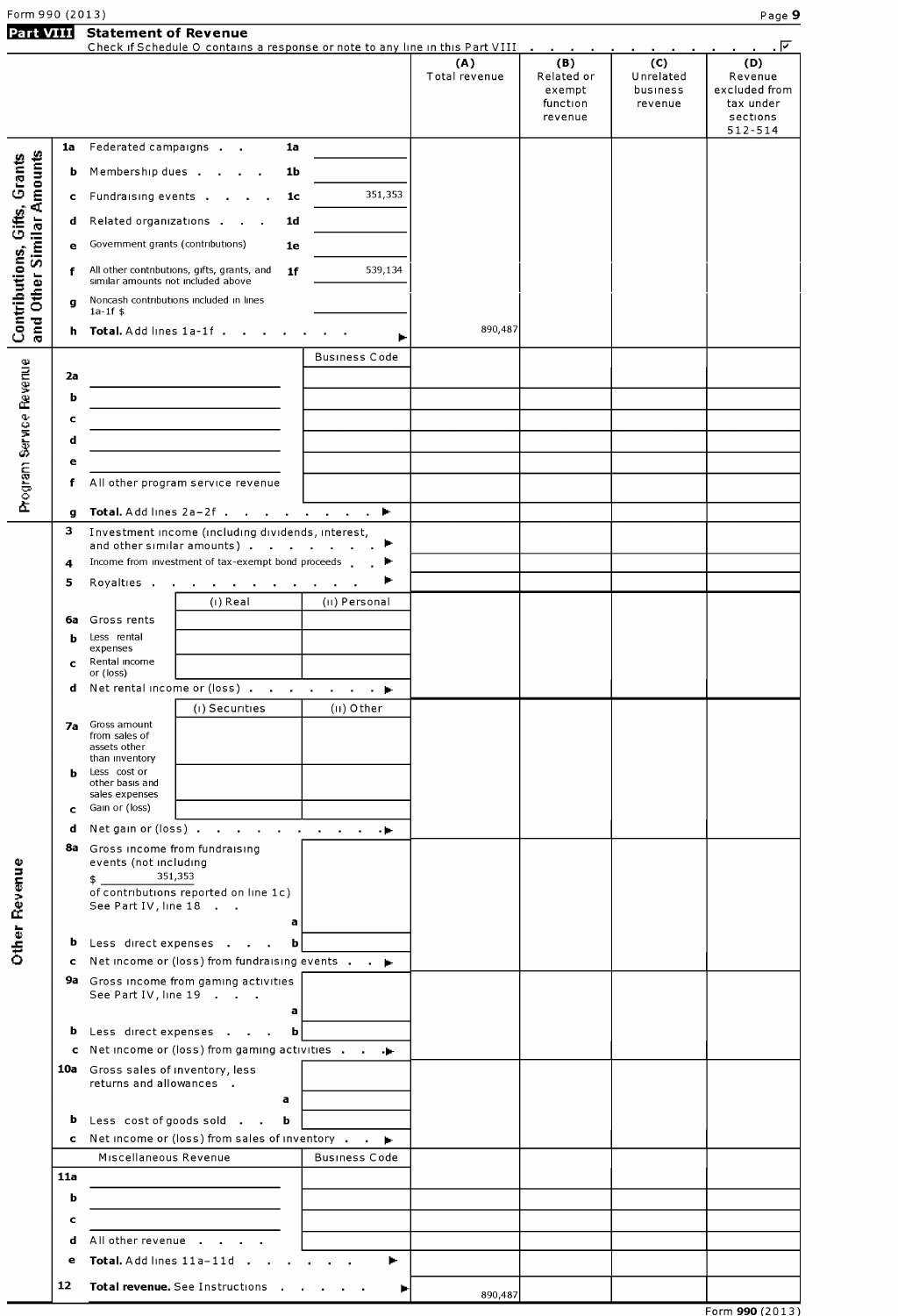| Form 990 (2013)              |                   | Part VIII Statement of Revenue                                                |                                                                                             |                      |               |                                             |                                  | Page 9                                                       |
|------------------------------|-------------------|-------------------------------------------------------------------------------|---------------------------------------------------------------------------------------------|----------------------|---------------|---------------------------------------------|----------------------------------|--------------------------------------------------------------|
|                              |                   |                                                                               | Check if Schedule O contains a response or note to any line in this Part VIII               |                      | (A)           | the company of the company<br>(B)           | (C)                              | . $\overline{\triangledown}$<br>(D)                          |
|                              |                   |                                                                               |                                                                                             |                      | Total revenue | Related or<br>exempt<br>function<br>revenue | Unrelated<br>business<br>revenue | Revenue<br>excluded from<br>tax under<br>sections<br>512-514 |
|                              | 1a                | Federated campaigns                                                           | 1a                                                                                          |                      |               |                                             |                                  |                                                              |
| Other Similar Amounts        | b                 | Membership dues                                                               | 1b                                                                                          |                      |               |                                             |                                  |                                                              |
|                              | c                 |                                                                               | Fundraising events<br>1c                                                                    | 351,353              |               |                                             |                                  |                                                              |
|                              | d                 | Related organizations                                                         | 1 <sub>d</sub>                                                                              |                      |               |                                             |                                  |                                                              |
|                              | е                 | Government grants (contributions)                                             | 1e                                                                                          |                      |               |                                             |                                  |                                                              |
|                              | f                 |                                                                               | All other contributions, gifts, grants, and<br>1 <sub>f</sub>                               | 539,134              |               |                                             |                                  |                                                              |
|                              |                   | similar amounts not included above<br>Noncash contributions included in lines |                                                                                             |                      |               |                                             |                                  |                                                              |
| Contributions, Gifts, Grants | g                 | $1a-1f$ \$                                                                    |                                                                                             |                      |               |                                             |                                  |                                                              |
| Tang                         | h                 | Total. Add lines 1a-1f.                                                       |                                                                                             |                      | 890,487       |                                             |                                  |                                                              |
|                              |                   |                                                                               |                                                                                             | <b>Business Code</b> |               |                                             |                                  |                                                              |
|                              | 2a                |                                                                               |                                                                                             |                      |               |                                             |                                  |                                                              |
|                              | ь                 |                                                                               |                                                                                             |                      |               |                                             |                                  |                                                              |
|                              | c                 |                                                                               |                                                                                             |                      |               |                                             |                                  |                                                              |
|                              | d<br>e            |                                                                               |                                                                                             |                      |               |                                             |                                  |                                                              |
| Program Service Revenue      | f                 |                                                                               | All other program service revenue                                                           |                      |               |                                             |                                  |                                                              |
|                              |                   |                                                                               |                                                                                             |                      |               |                                             |                                  |                                                              |
|                              | g<br>з            | Total. Add lines 2a-2f.                                                       | the control of the control of the con-<br>Investment income (including dividends, interest, | ►                    |               |                                             |                                  |                                                              |
|                              |                   |                                                                               | and other similar amounts)                                                                  |                      |               |                                             |                                  |                                                              |
|                              | 4                 |                                                                               | Income from investment of tax-exempt bond proceeds.                                         |                      |               |                                             |                                  |                                                              |
|                              | 5                 | <b>Royalties</b>                                                              | the company of the company<br>$(I)$ Real                                                    | (ii) Personal        |               |                                             |                                  |                                                              |
|                              | 6a                | Gross rents                                                                   |                                                                                             |                      |               |                                             |                                  |                                                              |
|                              | b                 | Less rental<br>expenses                                                       |                                                                                             |                      |               |                                             |                                  |                                                              |
|                              | c                 | Rental income<br>or (loss)                                                    |                                                                                             |                      |               |                                             |                                  |                                                              |
|                              | d                 |                                                                               | Net rental income or (loss) ⊫                                                               |                      |               |                                             |                                  |                                                              |
|                              |                   |                                                                               | (i) Securities                                                                              | (ii) Other           |               |                                             |                                  |                                                              |
|                              | 7a                | Gross amount<br>from sales of<br>assets other<br>than inventory               |                                                                                             |                      |               |                                             |                                  |                                                              |
|                              | ь                 | Less cost or<br>other basis and                                               |                                                                                             |                      |               |                                             |                                  |                                                              |
|                              |                   | sales expenses<br>Gain or (loss)                                              |                                                                                             |                      |               |                                             |                                  |                                                              |
|                              | $\mathbf{C}$<br>d |                                                                               | Net gain or (loss)                                                                          |                      |               |                                             |                                  |                                                              |
|                              | 8a                | Gross income from fundraising                                                 |                                                                                             |                      |               |                                             |                                  |                                                              |
| <b>Other Revenue</b>         |                   | events (not including<br>351,353<br>\$                                        | of contributions reported on line 1c)                                                       |                      |               |                                             |                                  |                                                              |
|                              |                   | See Part IV, line 18                                                          | a                                                                                           |                      |               |                                             |                                  |                                                              |
|                              | b.                |                                                                               | Less direct expenses<br>b                                                                   |                      |               |                                             |                                  |                                                              |
|                              | $\mathbf{C}$      |                                                                               | Net income or (loss) from fundraising events $\cdots$                                       |                      |               |                                             |                                  |                                                              |
|                              |                   | See Part IV, line 19                                                          | 9a Gross income from gaming activities                                                      |                      |               |                                             |                                  |                                                              |
|                              | b                 |                                                                               | a<br>Less direct expenses<br>b                                                              |                      |               |                                             |                                  |                                                              |
|                              |                   |                                                                               | c Net income or (loss) from gaming activities                                               |                      |               |                                             |                                  |                                                              |
|                              | 10a               | Gross sales of inventory, less<br>returns and allowances.                     |                                                                                             |                      |               |                                             |                                  |                                                              |
|                              | b.                | Less cost of goods sold                                                       | a<br>b                                                                                      |                      |               |                                             |                                  |                                                              |
|                              |                   |                                                                               | c Net income or (loss) from sales of inventory ►                                            |                      |               |                                             |                                  |                                                              |
|                              |                   | Miscellaneous Revenue                                                         |                                                                                             | Business Code        |               |                                             |                                  |                                                              |
|                              | 11a               |                                                                               |                                                                                             |                      |               |                                             |                                  |                                                              |
|                              | b                 |                                                                               |                                                                                             |                      |               |                                             |                                  |                                                              |
|                              | c                 |                                                                               |                                                                                             |                      |               |                                             |                                  |                                                              |
|                              | d<br>е            | All other revenue                                                             | Total. Add lines 11a-11d                                                                    | Þ.                   |               |                                             |                                  |                                                              |
|                              |                   |                                                                               |                                                                                             |                      |               |                                             |                                  |                                                              |
| 12                           |                   |                                                                               | Total revenue. See Instructions                                                             | ▶                    | 890,487       |                                             |                                  |                                                              |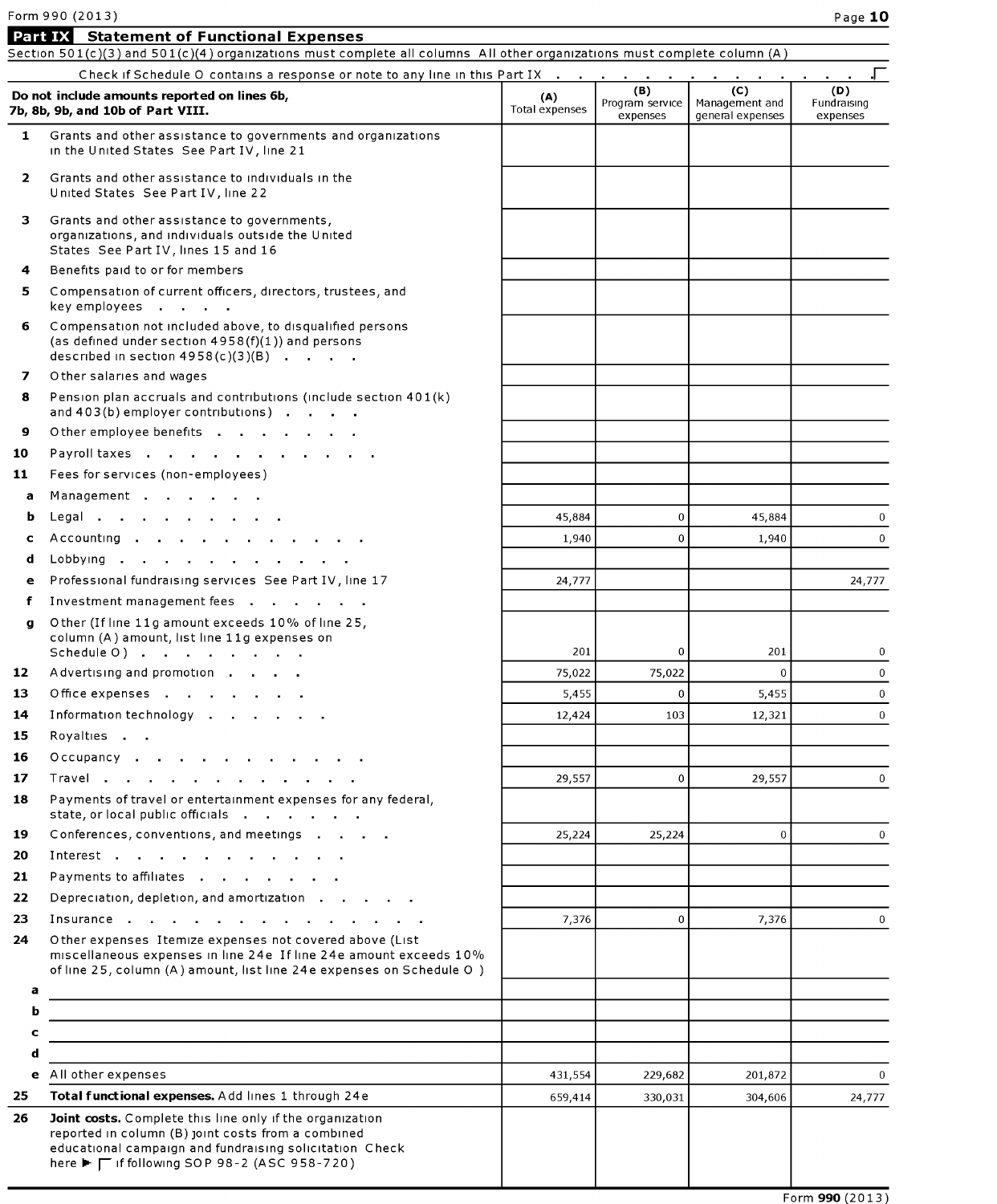# Form 990 (2013) Page 10

Part IX Statement of Functional Expenses

| $\mathbf{1}$ | Check if Schedule O contains a response or note to any line in this Part IX<br>Do not include amounts reported on lines 6b,<br>7b, 8b, 9b, and 10b of Part VIII.                                                          | (A)                   | (B)                         | (C)                                |                         |
|--------------|---------------------------------------------------------------------------------------------------------------------------------------------------------------------------------------------------------------------------|-----------------------|-----------------------------|------------------------------------|-------------------------|
|              |                                                                                                                                                                                                                           |                       |                             |                                    | (D)                     |
|              |                                                                                                                                                                                                                           | <b>Total expenses</b> | Program service<br>expenses | Management and<br>general expenses | Fundraising<br>expenses |
|              | Grants and other assistance to governments and organizations<br>in the United States See Part IV, line 21                                                                                                                 |                       |                             |                                    |                         |
| $\mathbf{2}$ | Grants and other assistance to individuals in the<br>United States See Part IV, line 22                                                                                                                                   |                       |                             |                                    |                         |
| з            | Grants and other assistance to governments,<br>organizations, and individuals outside the United<br>States See Part IV, lines 15 and 16                                                                                   |                       |                             |                                    |                         |
| 4            | Benefits paid to or for members                                                                                                                                                                                           |                       |                             |                                    |                         |
| 5            | Compensation of current officers, directors, trustees, and<br>key employees                                                                                                                                               |                       |                             |                                    |                         |
| 6            | Compensation not included above, to disqualified persons<br>(as defined under section $4958(f)(1)$ ) and persons<br>described in section $4958(c)(3)(B)$                                                                  |                       |                             |                                    |                         |
| 7            | Other salaries and wages                                                                                                                                                                                                  |                       |                             |                                    |                         |
| 8            | Pension plan accruals and contributions (include section 401(k)<br>and 403(b) employer contributions)                                                                                                                     |                       |                             |                                    |                         |
| 9            | Other employee benefits                                                                                                                                                                                                   |                       |                             |                                    |                         |
| 10           | Payroll taxes                                                                                                                                                                                                             |                       |                             |                                    |                         |
| 11           | Fees for services (non-employees)                                                                                                                                                                                         |                       |                             |                                    |                         |
| a            | Management                                                                                                                                                                                                                |                       |                             |                                    |                         |
| b            | Legal                                                                                                                                                                                                                     | 45,884                | $\mathbf 0$                 | 45,884                             | $\mathbf{0}$            |
| c            | Accounting                                                                                                                                                                                                                | 1.940                 | $\mathbf{0}$                | 1,940                              | $\overline{0}$          |
| d            | Lobbying $\cdots$ $\cdots$                                                                                                                                                                                                |                       |                             |                                    |                         |
| е            | Professional fundraising services See Part IV, line 17                                                                                                                                                                    | 24,777                |                             |                                    | 24,777                  |
| f            | Investment management fees                                                                                                                                                                                                |                       |                             |                                    |                         |
| q            | Other (If line 11g amount exceeds 10% of line 25,<br>column (A) amount, list line 11g expenses on<br>Schedule O)                                                                                                          | 201                   | $\mathbf 0$                 | 201                                | 0                       |
| 12           | Advertising and promotion                                                                                                                                                                                                 | 75,022                | 75,022                      | $\mathbf{0}$                       | $\overline{0}$          |
| 13           | Office expenses                                                                                                                                                                                                           | 5.455                 | $\mathbf 0$                 | 5,455                              | $\mathbf 0$             |
| 14           | Information technology .<br>the contract of the contract                                                                                                                                                                  | 12,424                | 103                         | 12,321                             | $\mathbf{0}$            |
| 15           | Royalties                                                                                                                                                                                                                 |                       |                             |                                    |                         |
| 16           | Occupancy                                                                                                                                                                                                                 |                       |                             |                                    |                         |
| 17           | Travel                                                                                                                                                                                                                    | 29,557                | $\overline{0}$              | 29,557                             | $\mathbf{0}$            |
| 18           | Payments of travel or entertainment expenses for any federal,<br>state, or local public officials                                                                                                                         |                       |                             |                                    |                         |
| 19           | Conferences, conventions, and meetings                                                                                                                                                                                    | 25,224                | 25,224                      | $\Omega$                           | $\overline{0}$          |
| 20           | Interest                                                                                                                                                                                                                  |                       |                             |                                    |                         |
| 21           | Payments to affiliates                                                                                                                                                                                                    |                       |                             |                                    |                         |
| 22           | Depreciation, depletion, and amortization                                                                                                                                                                                 |                       |                             |                                    |                         |
| 23           | Insurance                                                                                                                                                                                                                 | 7,376                 | $\Omega$                    | 7,376                              | $\Omega$                |
| 24           | Other expenses Itemize expenses not covered above (List<br>miscellaneous expenses in line 24e If line 24e amount exceeds 10%<br>of line 25, column (A) amount, list line 24e expenses on Schedule O)                      |                       |                             |                                    |                         |
| а            |                                                                                                                                                                                                                           |                       |                             |                                    |                         |
| ь            |                                                                                                                                                                                                                           |                       |                             |                                    |                         |
| c            |                                                                                                                                                                                                                           |                       |                             |                                    |                         |
| d            |                                                                                                                                                                                                                           |                       |                             |                                    |                         |
| e            | All other expenses                                                                                                                                                                                                        | 431,554               | 229,682                     | 201,872                            | $\Omega$                |
| 25           | Total functional expenses. Add lines 1 through 24e                                                                                                                                                                        | 659,414               | 330,031                     | 304,606                            | 24,777                  |
| 26           | Joint costs. Complete this line only if the organization<br>reported in column (B) joint costs from a combined<br>educational campaign and fundraising solicitation Check<br>here ► Γ if following SOP 98-2 (ASC 958-720) |                       |                             |                                    |                         |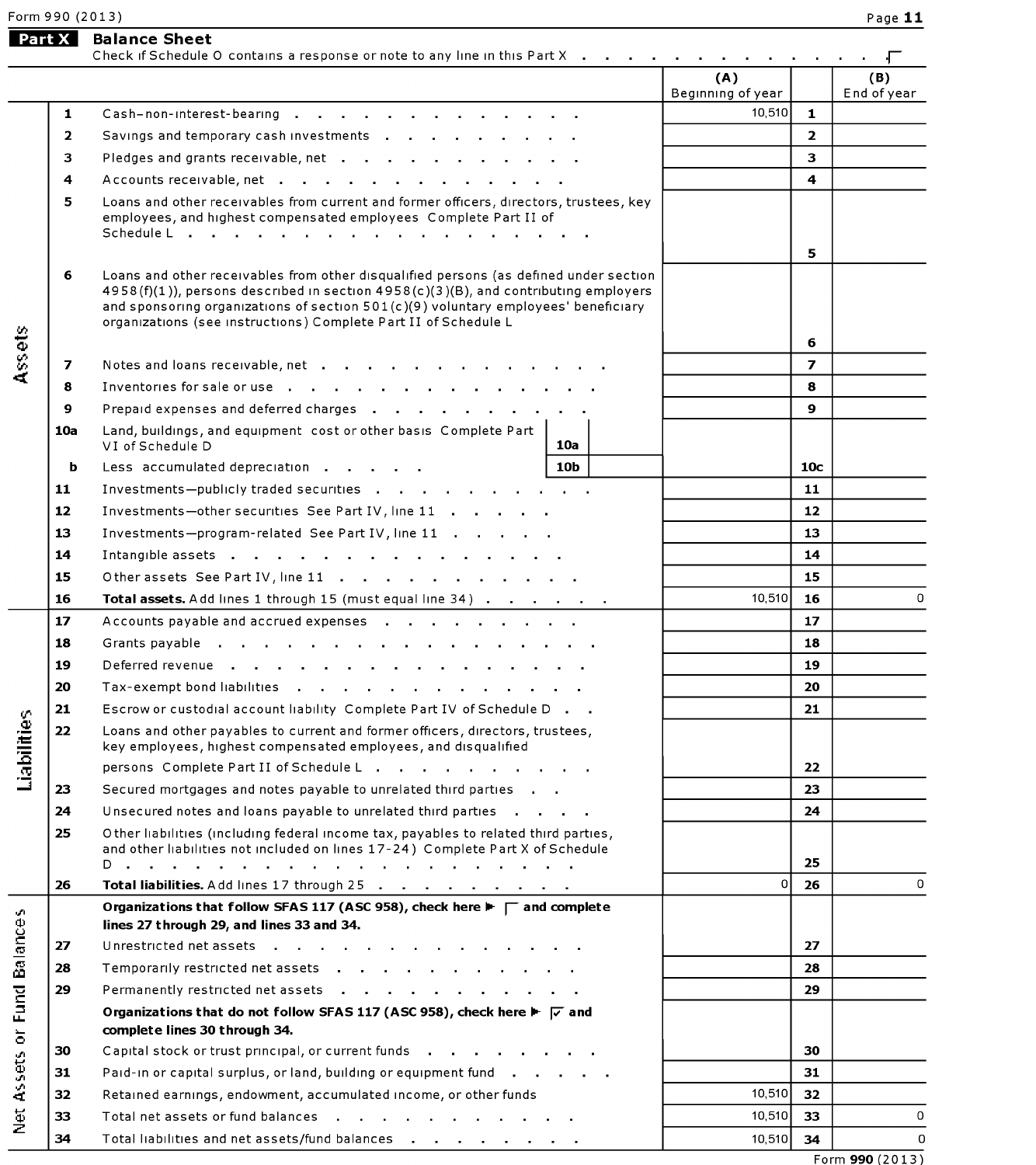#### Form 990 (2013) Page  ${\bf 11}$

|                           |              |                                                                                                                                                                                                                                                                                                                                               | (A)<br>Beginning of year |                         | (B)<br>End of year |
|---------------------------|--------------|-----------------------------------------------------------------------------------------------------------------------------------------------------------------------------------------------------------------------------------------------------------------------------------------------------------------------------------------------|--------------------------|-------------------------|--------------------|
|                           | $\mathbf{1}$ | Cash-non-interest-bearing                                                                                                                                                                                                                                                                                                                     | 10,510                   | $\mathbf{1}$            |                    |
|                           | $\mathbf{2}$ | Savings and temporary cash investments                                                                                                                                                                                                                                                                                                        |                          | $\overline{2}$          |                    |
|                           | 3            | Pledges and grants receivable, net                                                                                                                                                                                                                                                                                                            |                          | 3                       |                    |
|                           | 4            |                                                                                                                                                                                                                                                                                                                                               |                          | $\overline{\mathbf{4}}$ |                    |
|                           | 5            | Loans and other receivables from current and former officers, directors, trustees, key                                                                                                                                                                                                                                                        |                          |                         |                    |
|                           |              | employees, and highest compensated employees Complete Part II of                                                                                                                                                                                                                                                                              |                          | 5                       |                    |
|                           | 6            | Loans and other receivables from other disqualified persons (as defined under section<br>$4958(f)(1)$ ), persons described in section $4958(c)(3)(B)$ , and contributing employers<br>and sponsoring organizations of section $501(c)(9)$ voluntary employees' beneficiary<br>organizations (see instructions) Complete Part II of Schedule L |                          |                         |                    |
| Assets                    |              |                                                                                                                                                                                                                                                                                                                                               |                          | 6                       |                    |
|                           | 7            | Notes and loans receivable, net                                                                                                                                                                                                                                                                                                               |                          | $\overline{ }$          |                    |
|                           | 8            | Inventories for sale or use                                                                                                                                                                                                                                                                                                                   |                          | 8                       |                    |
|                           | 9            | Prepaid expenses and deferred charges                                                                                                                                                                                                                                                                                                         |                          | $\mathbf{9}$            |                    |
|                           | 10a          | Land, buildings, and equipment cost or other basis Complete Part<br>VI of Schedule D<br>10a                                                                                                                                                                                                                                                   |                          |                         |                    |
|                           | b            | 10b<br>Less accumulated depreciation                                                                                                                                                                                                                                                                                                          |                          | 10 <sub>c</sub>         |                    |
|                           | 11           | Investments-publicly traded securities                                                                                                                                                                                                                                                                                                        |                          | 11                      |                    |
|                           | 12           | Investments-other securities See Part IV, line 11                                                                                                                                                                                                                                                                                             |                          | $12 \,$                 |                    |
|                           | 13           | Investments-program-related See Part IV, line 11                                                                                                                                                                                                                                                                                              |                          | 13                      |                    |
|                           | 14           | Intangible assets                                                                                                                                                                                                                                                                                                                             |                          | 14                      |                    |
|                           | 15           | Other assets See Part IV, line 11                                                                                                                                                                                                                                                                                                             |                          | 15                      |                    |
|                           | 16           | Total assets. Add lines 1 through 15 (must equal line 34)                                                                                                                                                                                                                                                                                     | 10,510                   | 16                      | $\Omega$           |
|                           | 17           | Accounts payable and accrued expenses                                                                                                                                                                                                                                                                                                         |                          | 17                      |                    |
|                           | 18           |                                                                                                                                                                                                                                                                                                                                               |                          | 18                      |                    |
|                           | 19           | Deferred revenue                                                                                                                                                                                                                                                                                                                              |                          | 19                      |                    |
|                           | 20           | Tax-exempt bond liabilities                                                                                                                                                                                                                                                                                                                   |                          | 20                      |                    |
|                           | 21           | Escrow or custodial account liability Complete Part IV of Schedule D.                                                                                                                                                                                                                                                                         |                          | 21                      |                    |
| oilities                  | 22           | Loans and other payables to current and former officers, directors, trustees,<br>key employees, highest compensated employees, and disqualified                                                                                                                                                                                               |                          |                         |                    |
| $\mathbf{E}$              |              | persons Complete Part II of Schedule L                                                                                                                                                                                                                                                                                                        |                          | 22                      |                    |
|                           | 23           | Secured mortgages and notes payable to unrelated third parties                                                                                                                                                                                                                                                                                |                          | 23                      |                    |
|                           | 24           | Unsecured notes and loans payable to unrelated third parties                                                                                                                                                                                                                                                                                  |                          | 24                      |                    |
|                           | 25           | Other liabilities (including federal income tax, payables to related third parties,<br>and other liabilities not included on lines 17-24) Complete Part X of Schedule<br>the contract of the contract of the contract of the contract of the contract of<br>D                                                                                 |                          | 25                      |                    |
|                           | 26           | Total liabilities. Add lines 17 through 25                                                                                                                                                                                                                                                                                                    | 0                        | 26                      | 0                  |
|                           |              | Organizations that follow SFAS 117 (ASC 958), check here $\blacktriangleright \sqsubset \Box$ and complete                                                                                                                                                                                                                                    |                          |                         |                    |
| v.                        |              | lines 27 through 29, and lines 33 and 34.                                                                                                                                                                                                                                                                                                     |                          |                         |                    |
| Fund Balance              | 27           | Unrestricted net assets                                                                                                                                                                                                                                                                                                                       |                          | 27                      |                    |
|                           | 28           | Temporarily restricted net assets                                                                                                                                                                                                                                                                                                             |                          | 28                      |                    |
|                           | 29           | Permanently restricted net assets                                                                                                                                                                                                                                                                                                             |                          | 29                      |                    |
|                           |              | Organizations that do not follow SFAS 117 (ASC 958), check here $\blacktriangleright \blacktriangleright$ and                                                                                                                                                                                                                                 |                          |                         |                    |
| $\overleftarrow{\bullet}$ |              | complete lines 30 through 34.                                                                                                                                                                                                                                                                                                                 |                          |                         |                    |
|                           | 30           | Capital stock or trust principal, or current funds                                                                                                                                                                                                                                                                                            |                          | 30                      |                    |
| Assets                    | 31           | Paid-in or capital surplus, or land, building or equipment fund                                                                                                                                                                                                                                                                               |                          | 31                      |                    |
|                           | 32           | Retained earnings, endowment, accumulated income, or other funds                                                                                                                                                                                                                                                                              | 10,510                   | 32                      |                    |
| $\frac{1}{2}$             | 33           | Total net assets or fund balances                                                                                                                                                                                                                                                                                                             | 10,510                   | 33                      | 0                  |
|                           | 34           | Total liabilities and net assets/fund balances                                                                                                                                                                                                                                                                                                | 10,510                   | 34                      | $\Omega$           |

Balance Sheet<br>Check if Schedule 0 contains a response or note to any line in this Part X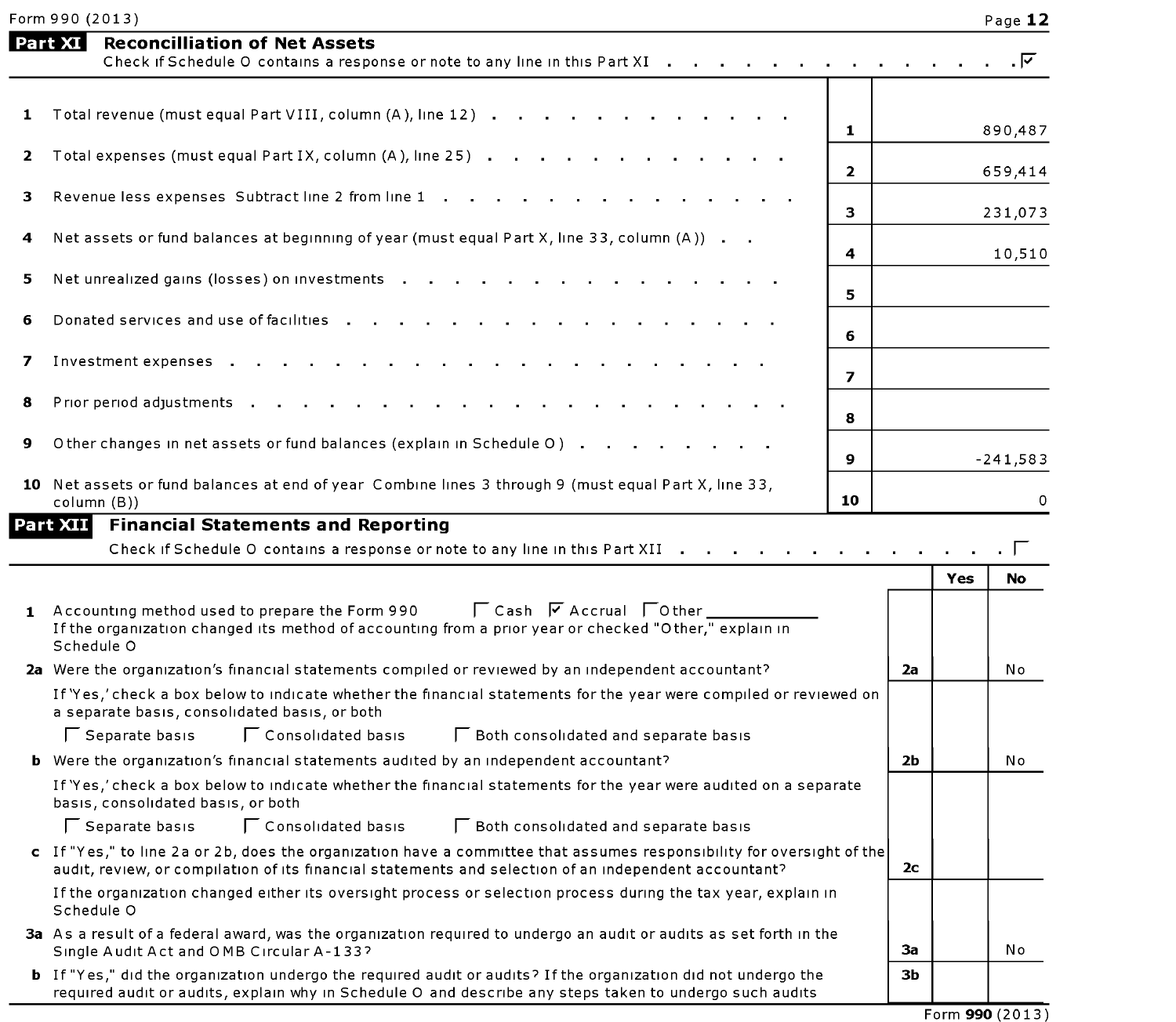| Form 990 (2013) | Page 12 |
|-----------------|---------|
|                 |         |

|              | Part XI<br><b>Reconcilliation of Net Assets</b><br>Check if Schedule O contains a response or note to any line in this Part XI                                                                                                 |                         |                |            |                  |
|--------------|--------------------------------------------------------------------------------------------------------------------------------------------------------------------------------------------------------------------------------|-------------------------|----------------|------------|------------------|
| 1            | Total revenue (must equal Part VIII, column (A), line 12)                                                                                                                                                                      |                         |                |            |                  |
|              |                                                                                                                                                                                                                                | $\mathbf{1}$            |                |            | 890,487          |
| 2            | Total expenses (must equal Part IX, column (A), line 25)                                                                                                                                                                       | $\overline{2}$          |                |            | 659,414          |
| з            | Revenue less expenses Subtract line 2 from line 1                                                                                                                                                                              |                         |                |            |                  |
| 4            | Net assets or fund balances at beginning of year (must equal Part X, line 33, column (A))                                                                                                                                      | 3                       |                |            | 231,073          |
|              |                                                                                                                                                                                                                                | $\overline{\mathbf{4}}$ |                |            | 10,510           |
| 5            | Net unrealized gains (losses) on investments                                                                                                                                                                                   | 5                       |                |            |                  |
| 6            | Donated services and use of facilities                                                                                                                                                                                         | 6                       |                |            |                  |
| 7            | Investment expenses                                                                                                                                                                                                            | $\overline{ }$          |                |            |                  |
| 8            | Prior period adjustments                                                                                                                                                                                                       | 8                       |                |            |                  |
| 9            | Other changes in net assets or fund balances (explain in Schedule O)                                                                                                                                                           | 9                       |                |            | $-241,583$       |
|              | 10 Net assets or fund balances at end of year Combine lines 3 through 9 (must equal Part X, line 33,<br>column (B))                                                                                                            | 10                      |                |            | $\Omega$         |
|              | Check if Schedule O contains a response or note to any line in this Part XII                                                                                                                                                   |                         |                |            | $\cdot$ $\Gamma$ |
|              |                                                                                                                                                                                                                                |                         |                | <b>Yes</b> | No.              |
| $\mathbf{1}$ | Accounting method used to prepare the Form 990 $\Box$ Cash $\Box$ Accrual $\Box$ Other<br>If the organization changed its method of accounting from a prior year or checked "Other," explain in<br>Schedule O                  |                         |                |            |                  |
|              | 2a Were the organization's financial statements compiled or reviewed by an independent accountant?                                                                                                                             |                         | 2a             |            | No               |
|              | If 'Yes,' check a box below to indicate whether the financial statements for the year were compiled or reviewed on<br>a separate basis, consolidated basis, or both                                                            |                         |                |            |                  |
|              | Consolidated basis<br>Separate basis<br>□ Both consolidated and separate basis                                                                                                                                                 |                         |                |            |                  |
|              | <b>b</b> Were the organization's financial statements audited by an independent accountant?                                                                                                                                    |                         | 2b             |            | No               |
|              | If 'Yes,' check a box below to indicate whether the financial statements for the year were audited on a separate<br>basis, consolidated basis, or both                                                                         |                         |                |            |                  |
|              | Consolidated basis<br>Separate basis<br>Both consolidated and separate basis                                                                                                                                                   |                         |                |            |                  |
|              | c If "Yes," to line 2a or 2b, does the organization have a committee that assumes responsibility for oversight of the<br>audit, review, or compilation of its financial statements and selection of an independent accountant? |                         | 2 <sub>c</sub> |            |                  |
|              | If the organization changed either its oversight process or selection process during the tax year, explain in<br>Schedule O                                                                                                    |                         |                |            |                  |
|              |                                                                                                                                                                                                                                |                         |                |            |                  |
|              | 3a As a result of a federal award, was the organization required to undergo an audit or audits as set forth in the<br>Single Audit Act and OMB Circular A-133?                                                                 |                         | За             |            | No               |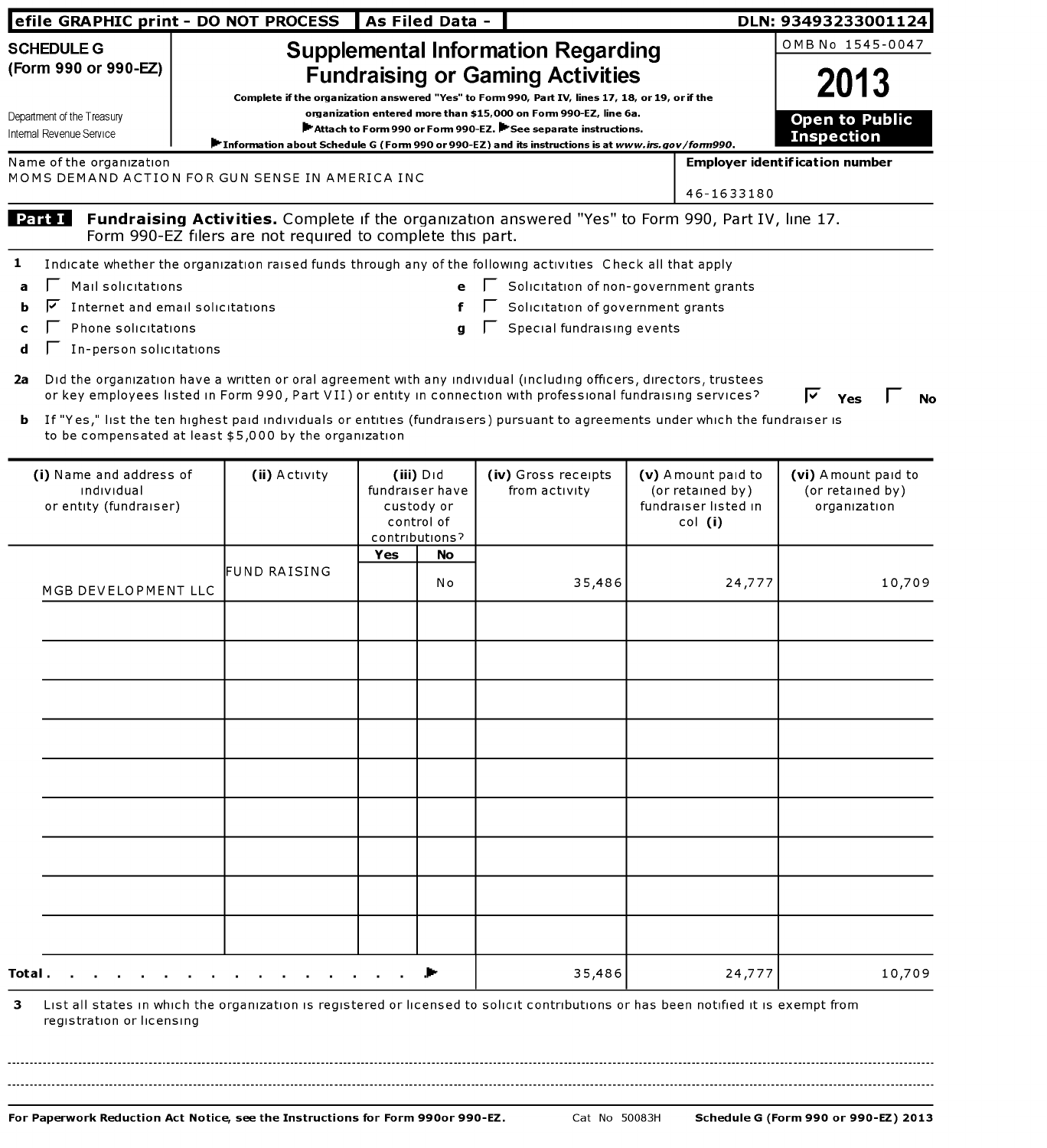|                                                                                                                                                                                                                                            |                                                            |                 | As Filed Data -          |                                                                                                   |                                                                                                    | DLN: 93493233001124                        |
|--------------------------------------------------------------------------------------------------------------------------------------------------------------------------------------------------------------------------------------------|------------------------------------------------------------|-----------------|--------------------------|---------------------------------------------------------------------------------------------------|----------------------------------------------------------------------------------------------------|--------------------------------------------|
| <b>SCHEDULE G</b>                                                                                                                                                                                                                          |                                                            |                 |                          | <b>Supplemental Information Regarding</b>                                                         |                                                                                                    | OMB No 1545-0047                           |
| (Form 990 or 990-EZ)                                                                                                                                                                                                                       |                                                            |                 |                          | <b>Fundraising or Gaming Activities</b>                                                           |                                                                                                    |                                            |
|                                                                                                                                                                                                                                            |                                                            |                 |                          | Complete if the organization answered "Yes" to Form 990, Part IV, lines 17, 18, or 19, or if the  |                                                                                                    | 2013                                       |
| Department of the Treasury                                                                                                                                                                                                                 |                                                            |                 |                          | organization entered more than \$15,000 on Form 990-EZ, line 6a.                                  |                                                                                                    |                                            |
| Internal Revenue Service                                                                                                                                                                                                                   |                                                            |                 |                          | Attach to Form 990 or Form 990-EZ. F See separate instructions.                                   |                                                                                                    | <b>Open to Public</b><br><b>Inspection</b> |
|                                                                                                                                                                                                                                            |                                                            |                 |                          | Information about Schedule G (Form 990 or 990-EZ) and its instructions is at www.irs.gov/form990. |                                                                                                    |                                            |
| Name of the organization                                                                                                                                                                                                                   |                                                            |                 |                          |                                                                                                   |                                                                                                    | <b>Employer identification number</b>      |
| MOMS DEMAND ACTION FOR GUN SENSE IN AMERICA INC                                                                                                                                                                                            |                                                            |                 |                          |                                                                                                   | 46-1633180                                                                                         |                                            |
| Part I                                                                                                                                                                                                                                     | Form 990-EZ filers are not required to complete this part. |                 |                          |                                                                                                   | Fundraising Activities. Complete if the organization answered "Yes" to Form 990, Part IV, line 17. |                                            |
| 1<br>Indicate whether the organization raised funds through any of the following activities Check all that apply                                                                                                                           |                                                            |                 |                          |                                                                                                   |                                                                                                    |                                            |
| Mail solicitations<br>a                                                                                                                                                                                                                    |                                                            |                 |                          | □ Solicitation of non-government grants                                                           |                                                                                                    |                                            |
| Internet and email solicitations                                                                                                                                                                                                           |                                                            |                 |                          | Solicitation of government grants                                                                 |                                                                                                    |                                            |
| Phone solicitations                                                                                                                                                                                                                        |                                                            |                 | a                        | Special fundraising events                                                                        |                                                                                                    |                                            |
| In-person solicitations                                                                                                                                                                                                                    |                                                            |                 |                          |                                                                                                   |                                                                                                    |                                            |
|                                                                                                                                                                                                                                            |                                                            |                 |                          |                                                                                                   |                                                                                                    |                                            |
| Did the organization have a written or oral agreement with any individual (including officers, directors, trustees<br>2a<br>or key employees listed in Form 990, Part VII) or entity in connection with professional fundraising services? |                                                            |                 |                          |                                                                                                   |                                                                                                    | <b>No</b><br>Yes                           |
| If "Yes," list the ten highest paid individuals or entities (fundraisers) pursuant to agreements under which the fundraiser is<br>b<br>to be compensated at least \$5,000 by the organization                                              |                                                            |                 |                          |                                                                                                   |                                                                                                    |                                            |
| (i) Name and address of                                                                                                                                                                                                                    | (ii) Activity                                              |                 | (iii) Did                | (iv) Gross receipts                                                                               | (v) A mount paid to                                                                                | (vi) Amount paid to                        |
| individual                                                                                                                                                                                                                                 |                                                            | fundraiser have |                          | from activity                                                                                     | (or retained by)                                                                                   | (or retained by)                           |
| or entity (fundraiser)                                                                                                                                                                                                                     |                                                            |                 | custody or<br>control of |                                                                                                   | fundraiser listed in<br>col (i)                                                                    | organization                               |
|                                                                                                                                                                                                                                            |                                                            |                 | contributions?           |                                                                                                   |                                                                                                    |                                            |
|                                                                                                                                                                                                                                            |                                                            | Yes             | No                       |                                                                                                   |                                                                                                    |                                            |
|                                                                                                                                                                                                                                            | FUND RAISING                                               |                 |                          |                                                                                                   |                                                                                                    |                                            |
|                                                                                                                                                                                                                                            |                                                            |                 |                          |                                                                                                   |                                                                                                    |                                            |
| MGB DEVELOPMENT LLC                                                                                                                                                                                                                        |                                                            |                 | No                       | 35,486                                                                                            | 24,777                                                                                             | 10,709                                     |
|                                                                                                                                                                                                                                            |                                                            |                 |                          |                                                                                                   |                                                                                                    |                                            |
|                                                                                                                                                                                                                                            |                                                            |                 |                          |                                                                                                   |                                                                                                    |                                            |
|                                                                                                                                                                                                                                            |                                                            |                 |                          |                                                                                                   |                                                                                                    |                                            |
|                                                                                                                                                                                                                                            |                                                            |                 |                          |                                                                                                   |                                                                                                    |                                            |
|                                                                                                                                                                                                                                            |                                                            |                 |                          |                                                                                                   |                                                                                                    |                                            |
|                                                                                                                                                                                                                                            |                                                            |                 |                          |                                                                                                   |                                                                                                    |                                            |
|                                                                                                                                                                                                                                            |                                                            |                 |                          |                                                                                                   |                                                                                                    |                                            |
|                                                                                                                                                                                                                                            |                                                            |                 |                          |                                                                                                   |                                                                                                    |                                            |
|                                                                                                                                                                                                                                            |                                                            |                 |                          |                                                                                                   |                                                                                                    |                                            |
|                                                                                                                                                                                                                                            |                                                            |                 |                          |                                                                                                   |                                                                                                    |                                            |
|                                                                                                                                                                                                                                            |                                                            |                 |                          |                                                                                                   |                                                                                                    |                                            |
|                                                                                                                                                                                                                                            |                                                            |                 |                          |                                                                                                   |                                                                                                    |                                            |
|                                                                                                                                                                                                                                            |                                                            |                 |                          |                                                                                                   |                                                                                                    |                                            |
|                                                                                                                                                                                                                                            |                                                            |                 |                          |                                                                                                   |                                                                                                    |                                            |
|                                                                                                                                                                                                                                            |                                                            |                 |                          |                                                                                                   |                                                                                                    |                                            |
|                                                                                                                                                                                                                                            |                                                            |                 |                          |                                                                                                   |                                                                                                    |                                            |
|                                                                                                                                                                                                                                            |                                                            |                 |                          |                                                                                                   |                                                                                                    |                                            |
|                                                                                                                                                                                                                                            |                                                            |                 |                          |                                                                                                   |                                                                                                    |                                            |

3 List all states in which the organization is registered or licensed to solicit contributions or has been notified it is exempt from registration or licensing

. . . . . . . . . . . . .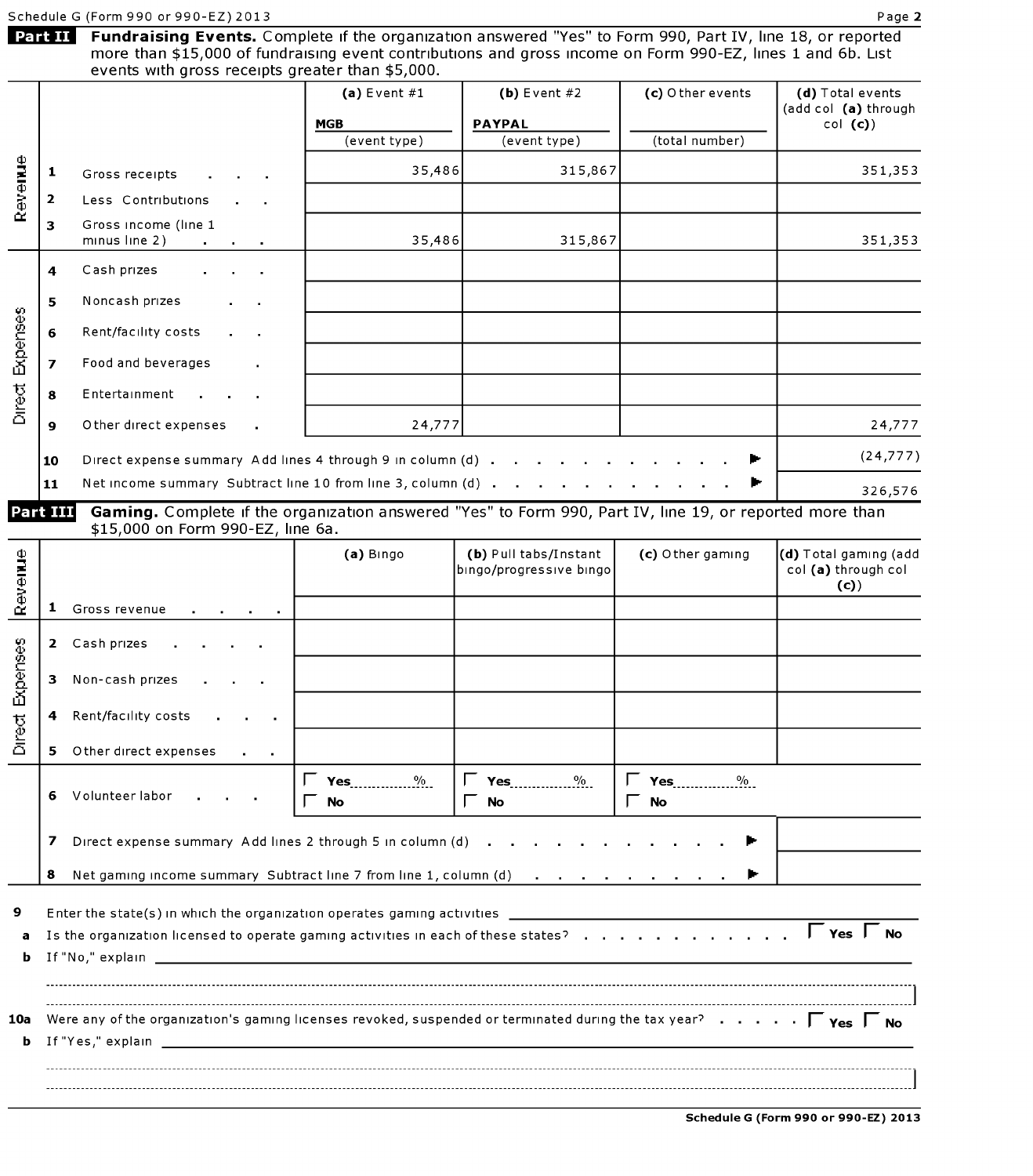|                         |                                                  |                                                                                                                                          |                                                              |                                                                                                                                                                                                                                                                                                  | Fundraising Events. Complete if the organization answered "Yes" to Form 990, Part IV, line 18, or reported                                                                                                                                                                                                                                                                                                                                                                                                                                                                                                  |
|-------------------------|--------------------------------------------------|------------------------------------------------------------------------------------------------------------------------------------------|--------------------------------------------------------------|--------------------------------------------------------------------------------------------------------------------------------------------------------------------------------------------------------------------------------------------------------------------------------------------------|-------------------------------------------------------------------------------------------------------------------------------------------------------------------------------------------------------------------------------------------------------------------------------------------------------------------------------------------------------------------------------------------------------------------------------------------------------------------------------------------------------------------------------------------------------------------------------------------------------------|
|                         | events with gross receipts greater than \$5,000. | more than \$15,000 of fundraising event contributions and gross income on Form 990-EZ, lines 1 and 6b. List                              |                                                              |                                                                                                                                                                                                                                                                                                  |                                                                                                                                                                                                                                                                                                                                                                                                                                                                                                                                                                                                             |
|                         |                                                  | (a) Event $#1$                                                                                                                           | (b) Event $#2$                                               |                                                                                                                                                                                                                                                                                                  | (d) Total events<br>(add col (a) through<br>$col$ (c))                                                                                                                                                                                                                                                                                                                                                                                                                                                                                                                                                      |
|                         |                                                  | (event type)                                                                                                                             | (event type)                                                 | (total number)                                                                                                                                                                                                                                                                                   |                                                                                                                                                                                                                                                                                                                                                                                                                                                                                                                                                                                                             |
| 1                       | Gross receipts                                   |                                                                                                                                          | 315,867                                                      |                                                                                                                                                                                                                                                                                                  | 351,353                                                                                                                                                                                                                                                                                                                                                                                                                                                                                                                                                                                                     |
| 2                       | Less Contributions                               |                                                                                                                                          |                                                              |                                                                                                                                                                                                                                                                                                  |                                                                                                                                                                                                                                                                                                                                                                                                                                                                                                                                                                                                             |
| 3                       | Gross income (line 1<br>minus line 2)            |                                                                                                                                          | 315,867                                                      |                                                                                                                                                                                                                                                                                                  | 351,353                                                                                                                                                                                                                                                                                                                                                                                                                                                                                                                                                                                                     |
| 4                       | Cash prizes                                      |                                                                                                                                          |                                                              |                                                                                                                                                                                                                                                                                                  |                                                                                                                                                                                                                                                                                                                                                                                                                                                                                                                                                                                                             |
| 5                       | Noncash prizes                                   |                                                                                                                                          |                                                              |                                                                                                                                                                                                                                                                                                  |                                                                                                                                                                                                                                                                                                                                                                                                                                                                                                                                                                                                             |
| 6                       | Rent/facility costs                              |                                                                                                                                          |                                                              |                                                                                                                                                                                                                                                                                                  |                                                                                                                                                                                                                                                                                                                                                                                                                                                                                                                                                                                                             |
| $\overline{\mathbf{z}}$ | Food and beverages                               |                                                                                                                                          |                                                              |                                                                                                                                                                                                                                                                                                  |                                                                                                                                                                                                                                                                                                                                                                                                                                                                                                                                                                                                             |
| 8                       | Entertainment                                    |                                                                                                                                          |                                                              |                                                                                                                                                                                                                                                                                                  |                                                                                                                                                                                                                                                                                                                                                                                                                                                                                                                                                                                                             |
| 9                       | O ther direct expenses                           |                                                                                                                                          |                                                              |                                                                                                                                                                                                                                                                                                  | 24,777                                                                                                                                                                                                                                                                                                                                                                                                                                                                                                                                                                                                      |
| 10                      |                                                  |                                                                                                                                          |                                                              |                                                                                                                                                                                                                                                                                                  | (24, 777)                                                                                                                                                                                                                                                                                                                                                                                                                                                                                                                                                                                                   |
| 11                      |                                                  |                                                                                                                                          |                                                              |                                                                                                                                                                                                                                                                                                  | 326,576                                                                                                                                                                                                                                                                                                                                                                                                                                                                                                                                                                                                     |
|                         |                                                  |                                                                                                                                          |                                                              |                                                                                                                                                                                                                                                                                                  |                                                                                                                                                                                                                                                                                                                                                                                                                                                                                                                                                                                                             |
|                         |                                                  |                                                                                                                                          |                                                              |                                                                                                                                                                                                                                                                                                  |                                                                                                                                                                                                                                                                                                                                                                                                                                                                                                                                                                                                             |
|                         |                                                  |                                                                                                                                          |                                                              |                                                                                                                                                                                                                                                                                                  | (d) Total gaming (add<br>col (a) through col<br>(c)                                                                                                                                                                                                                                                                                                                                                                                                                                                                                                                                                         |
|                         |                                                  |                                                                                                                                          |                                                              |                                                                                                                                                                                                                                                                                                  |                                                                                                                                                                                                                                                                                                                                                                                                                                                                                                                                                                                                             |
|                         |                                                  |                                                                                                                                          |                                                              |                                                                                                                                                                                                                                                                                                  |                                                                                                                                                                                                                                                                                                                                                                                                                                                                                                                                                                                                             |
|                         |                                                  |                                                                                                                                          |                                                              |                                                                                                                                                                                                                                                                                                  |                                                                                                                                                                                                                                                                                                                                                                                                                                                                                                                                                                                                             |
|                         |                                                  |                                                                                                                                          |                                                              |                                                                                                                                                                                                                                                                                                  |                                                                                                                                                                                                                                                                                                                                                                                                                                                                                                                                                                                                             |
|                         |                                                  |                                                                                                                                          |                                                              |                                                                                                                                                                                                                                                                                                  |                                                                                                                                                                                                                                                                                                                                                                                                                                                                                                                                                                                                             |
|                         |                                                  | $\Gamma$ Yes $\frac{\%}{\%}$<br>No                                                                                                       | $\Gamma$ Yes $\frac{0}{2}$<br>No                             | $\Gamma$ Yes $\frac{\%}{\%}$<br><b>No</b>                                                                                                                                                                                                                                                        |                                                                                                                                                                                                                                                                                                                                                                                                                                                                                                                                                                                                             |
|                         |                                                  |                                                                                                                                          |                                                              |                                                                                                                                                                                                                                                                                                  |                                                                                                                                                                                                                                                                                                                                                                                                                                                                                                                                                                                                             |
|                         |                                                  |                                                                                                                                          |                                                              |                                                                                                                                                                                                                                                                                                  |                                                                                                                                                                                                                                                                                                                                                                                                                                                                                                                                                                                                             |
|                         |                                                  |                                                                                                                                          |                                                              |                                                                                                                                                                                                                                                                                                  |                                                                                                                                                                                                                                                                                                                                                                                                                                                                                                                                                                                                             |
|                         |                                                  |                                                                                                                                          |                                                              |                                                                                                                                                                                                                                                                                                  | $\Gamma$ Yes $\Gamma$ No.                                                                                                                                                                                                                                                                                                                                                                                                                                                                                                                                                                                   |
|                         |                                                  |                                                                                                                                          |                                                              |                                                                                                                                                                                                                                                                                                  |                                                                                                                                                                                                                                                                                                                                                                                                                                                                                                                                                                                                             |
|                         |                                                  |                                                                                                                                          |                                                              |                                                                                                                                                                                                                                                                                                  |                                                                                                                                                                                                                                                                                                                                                                                                                                                                                                                                                                                                             |
|                         |                                                  |                                                                                                                                          |                                                              |                                                                                                                                                                                                                                                                                                  |                                                                                                                                                                                                                                                                                                                                                                                                                                                                                                                                                                                                             |
|                         | $\mathbf{1}$                                     | Part III<br>Gross revenue<br>2 Cash prizes<br>3 Non-cash prizes<br>4 Rent/facility costs<br>5 Other direct expenses<br>6 Volunteer labor | <b>MGB</b><br>\$15,000 on Form 990-EZ, line 6a.<br>(a) Bingo | <b>PAYPAL</b><br>35,486<br>35,486<br>24,777<br>Direct expense summary Add lines 4 through 9 in column (d) .<br>Net income summary Subtract line 10 from line 3, column (d) .<br>(b) Pull tabs/Instant<br>bingo/progressive bingo<br>7 Direct expense summary Add lines 2 through 5 in column (d) | (c) O ther events<br>Gaming. Complete if the organization answered "Yes" to Form 990, Part IV, line 19, or reported more than<br>(c) Other gaming<br>8 Net gaming income summary Subtract line 7 from line 1, column (d)<br>Enter the state(s) in which the organization operates gaming activities ____________________________<br>Is the organization licensed to operate gaming activities in each of these states? $\ldots$ , $\ldots$ , $\ldots$ , $\ldots$<br>Were any of the organization's gaming licenses revoked, suspended or terminated during the tax year? $\Gamma$ $\gamma_{es}$ $\Gamma$ No |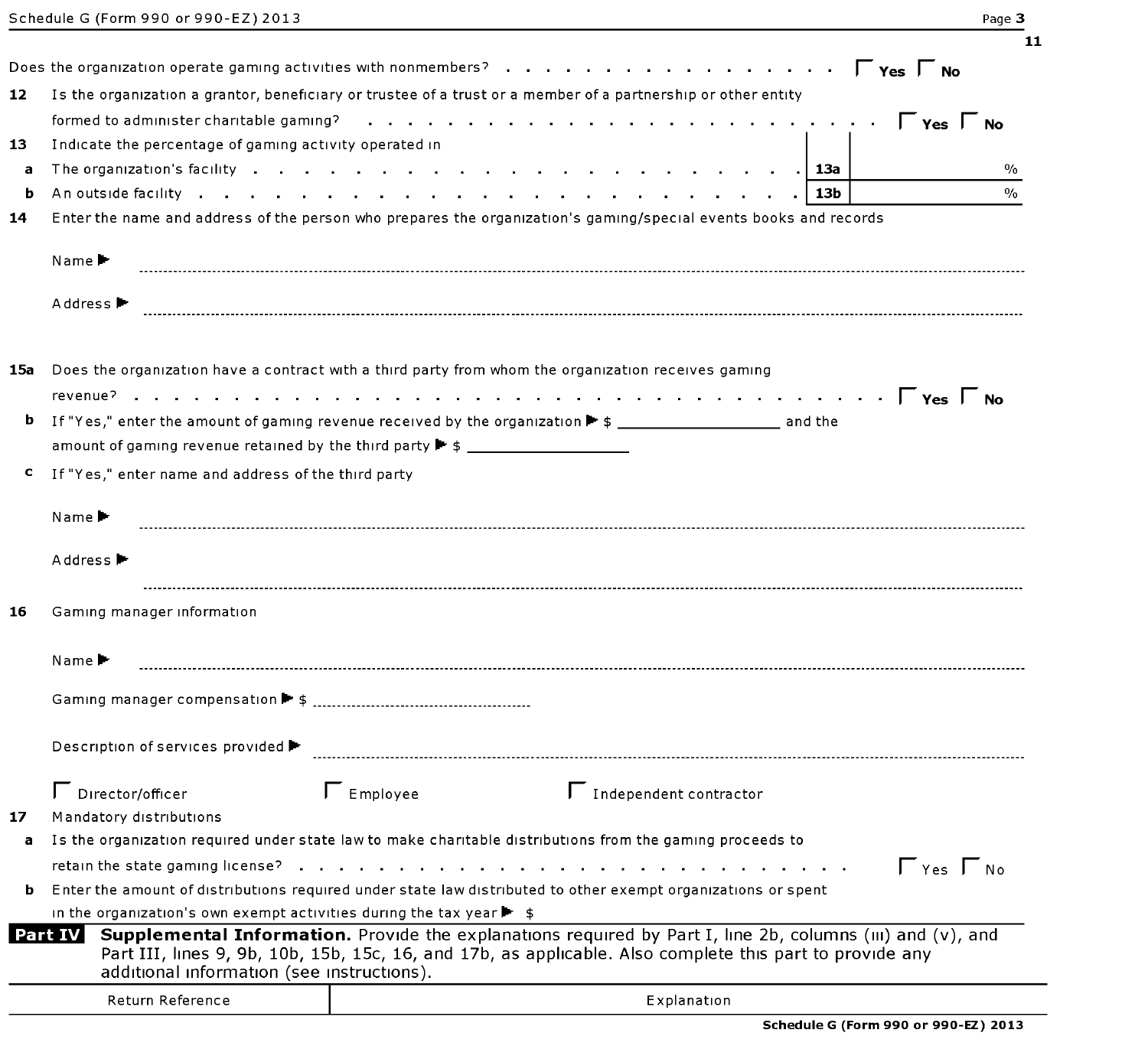### Schedule G (Form 990 or 990-EZ) 2013 Page 3

|              | Does the organization operate gaming activities with nonmembers? $\Gamma$ Yes $\Gamma$ No                                                                                                                                                                                                     |
|--------------|-----------------------------------------------------------------------------------------------------------------------------------------------------------------------------------------------------------------------------------------------------------------------------------------------|
| 12           | Is the organization a grantor, beneficiary or trustee of a trust or a member of a partnership or other entity                                                                                                                                                                                 |
|              |                                                                                                                                                                                                                                                                                               |
| 13           | Indicate the percentage of gaming activity operated in                                                                                                                                                                                                                                        |
| $\mathbf{a}$ | The organization's facility $\cdots$ , $\cdots$ , $\cdots$ , $\cdots$ , $\cdots$ , $\cdots$ , $\cdots$ , $\cdots$ , $\cdots$ , $\cdots$<br>$\frac{0}{0}$                                                                                                                                      |
| b            | 0/n                                                                                                                                                                                                                                                                                           |
| 14           | Enter the name and address of the person who prepares the organization's gaming/special events books and records                                                                                                                                                                              |
|              | Name $\blacktriangleright$                                                                                                                                                                                                                                                                    |
|              | Address ▶                                                                                                                                                                                                                                                                                     |
| 15a          | Does the organization have a contract with a third party from whom the organization receives gaming                                                                                                                                                                                           |
|              |                                                                                                                                                                                                                                                                                               |
| b            | If "Yes," enter the amount of gaming revenue received by the organization $\blacktriangleright$ \$                                                                                                                                                                                            |
|              | amount of gaming revenue retained by the third party $\blacktriangleright$ \$ __________________                                                                                                                                                                                              |
| C            | If "Yes," enter name and address of the third party                                                                                                                                                                                                                                           |
|              |                                                                                                                                                                                                                                                                                               |
|              | Name <b>P</b>                                                                                                                                                                                                                                                                                 |
|              | Address <sup>►</sup>                                                                                                                                                                                                                                                                          |
| 16           | Gaming manager information                                                                                                                                                                                                                                                                    |
|              | $Name \blacktriangleright$                                                                                                                                                                                                                                                                    |
|              |                                                                                                                                                                                                                                                                                               |
|              | Description of services provided ▶                                                                                                                                                                                                                                                            |
|              | $\Gamma$ Employee<br>$\Gamma$ Independent contractor<br>Director/officer                                                                                                                                                                                                                      |
| 17           | Mandatory distributions                                                                                                                                                                                                                                                                       |
| a            | Is the organization required under state law to make charitable distributions from the gaming proceeds to                                                                                                                                                                                     |
|              | $\Gamma$ Yes $\Gamma$ No                                                                                                                                                                                                                                                                      |
| ь            | Enter the amount of distributions required under state law distributed to other exempt organizations or spent                                                                                                                                                                                 |
|              | in the organization's own exempt activities during the tax year $\blacktriangleright$ \$                                                                                                                                                                                                      |
|              | <b>Supplemental Information.</b> Provide the explanations required by Part I, line 2b, columns (iii) and (v), and<br><b>Part IV</b><br>Part III, lines 9, 9b, 10b, 15b, 15c, 16, and 17b, as applicable. Also complete this part to provide any<br>additional information (see instructions). |
|              | Return Reference<br>Explanation                                                                                                                                                                                                                                                               |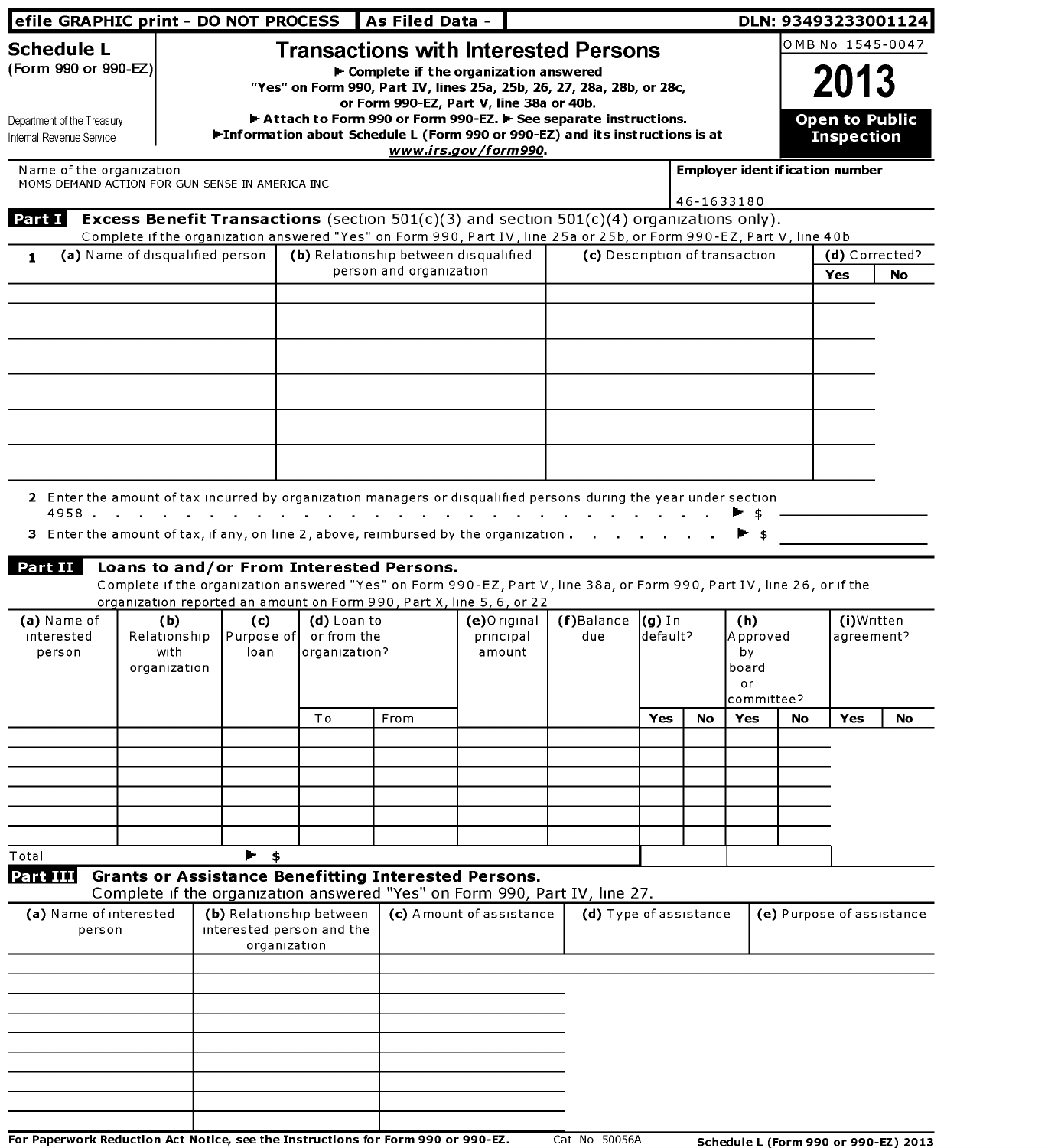| efile GRAPHIC print - DO NOT PROCESS                   |                                 |                         |                            | As Filed Data -                          |                                                                                                                                                                                                      |                                |                            |    |                                       |      |                   | DLN: 93493233001124       |  |  |
|--------------------------------------------------------|---------------------------------|-------------------------|----------------------------|------------------------------------------|------------------------------------------------------------------------------------------------------------------------------------------------------------------------------------------------------|--------------------------------|----------------------------|----|---------------------------------------|------|-------------------|---------------------------|--|--|
| <b>Schedule L</b>                                      |                                 |                         |                            |                                          | <b>Transactions with Interested Persons</b>                                                                                                                                                          |                                |                            |    |                                       |      |                   | OMB No 1545-0047          |  |  |
| (Form 990 or 990-EZ)                                   |                                 |                         |                            |                                          | $\blacktriangleright$ Complete if the organization answered<br>"Yes" on Form 990, Part IV, lines 25a, 25b, 26, 27, 28a, 28b, or 28c,<br>or Form 990-EZ, Part V, line 38a or 40b.                     |                                |                            |    |                                       | 2013 |                   |                           |  |  |
| Department of the Treasury<br>Internal Revenue Service |                                 |                         |                            |                                          | Attach to Form 990 or Form 990-EZ. F See separate instructions.<br>Information about Schedule L (Form 990 or 990-EZ) and its instructions is at<br>www.irs.gov/form990.                              |                                |                            |    |                                       |      | <b>Inspection</b> | <b>Open to Public</b>     |  |  |
| Name of the organization                               |                                 |                         |                            |                                          |                                                                                                                                                                                                      |                                |                            |    | <b>Employer identification number</b> |      |                   |                           |  |  |
| MOMS DEMAND ACTION FOR GUN SENSE IN AMERICA INC        |                                 |                         |                            |                                          |                                                                                                                                                                                                      |                                |                            |    | 46-1633180                            |      |                   |                           |  |  |
| Part I                                                 |                                 |                         |                            |                                          | <b>Excess Benefit Transactions</b> (section $501(c)(3)$ and section $501(c)(4)$ organizations only).                                                                                                 |                                |                            |    |                                       |      |                   |                           |  |  |
| $\mathbf{1}$                                           | (a) Name of disqualified person |                         |                            |                                          | Complete if the organization answered "Yes" on Form 990, Part IV, line 25a or 25b, or Form 990-EZ, Part V, line 40b<br>(b) Relationship between disqualified                                         | (c) Description of transaction |                            |    |                                       |      |                   | (d) Corrected?            |  |  |
|                                                        |                                 |                         |                            | person and organization                  |                                                                                                                                                                                                      |                                |                            |    |                                       |      | Yes               | <b>No</b>                 |  |  |
|                                                        |                                 |                         |                            |                                          |                                                                                                                                                                                                      |                                |                            |    |                                       |      |                   |                           |  |  |
|                                                        |                                 |                         |                            |                                          |                                                                                                                                                                                                      |                                |                            |    |                                       |      |                   |                           |  |  |
|                                                        |                                 |                         |                            |                                          |                                                                                                                                                                                                      |                                |                            |    |                                       |      |                   |                           |  |  |
|                                                        |                                 |                         |                            |                                          |                                                                                                                                                                                                      |                                |                            |    |                                       |      |                   |                           |  |  |
|                                                        |                                 |                         |                            |                                          |                                                                                                                                                                                                      |                                |                            |    |                                       |      |                   |                           |  |  |
|                                                        |                                 |                         |                            |                                          |                                                                                                                                                                                                      |                                |                            |    |                                       |      |                   |                           |  |  |
|                                                        |                                 |                         |                            |                                          |                                                                                                                                                                                                      |                                |                            |    |                                       |      |                   |                           |  |  |
|                                                        |                                 |                         |                            |                                          |                                                                                                                                                                                                      |                                |                            |    |                                       |      |                   |                           |  |  |
| 4958.                                                  |                                 |                         |                            |                                          | 2 Enter the amount of tax incurred by organization managers or disqualified persons during the year under section<br>and a series of the contract of the contract of the contract of the contract of |                                |                            |    |                                       |      |                   |                           |  |  |
|                                                        |                                 |                         |                            |                                          | 3 Enter the amount of tax, if any, on line 2, above, reimbursed by the organization                                                                                                                  |                                |                            |    | $\blacksquare$                        |      |                   |                           |  |  |
|                                                        |                                 |                         |                            |                                          |                                                                                                                                                                                                      |                                |                            |    |                                       |      |                   |                           |  |  |
| Part II                                                |                                 |                         |                            | Loans to and/or From Interested Persons. | Complete if the organization answered "Yes" on Form 990-EZ, Part V, line 38a, or Form 990, Part IV, line 26, or if the                                                                               |                                |                            |    |                                       |      |                   |                           |  |  |
|                                                        |                                 |                         |                            |                                          | organization reported an amount on Form 990, Part X, line 5, 6, or 22                                                                                                                                |                                |                            |    |                                       |      |                   |                           |  |  |
| (a) Name of<br>interested                              | (b)<br>Relationship             | (c)<br>Purpose of       | (d) Loan to<br>or from the |                                          | $(e)$ Original<br>principal                                                                                                                                                                          | (f)Balance<br>due              | <b>(g)</b> In<br>ldefault? |    | (h)<br>Approved                       |      |                   | (i)Written<br>agreement?  |  |  |
| person                                                 | with                            | loan                    | organization?              |                                          | amount                                                                                                                                                                                               |                                |                            |    | by                                    |      |                   |                           |  |  |
|                                                        | organization                    |                         |                            |                                          |                                                                                                                                                                                                      |                                |                            |    | board<br>or.                          |      |                   |                           |  |  |
|                                                        |                                 |                         |                            |                                          |                                                                                                                                                                                                      |                                |                            |    | lcommittee?                           |      |                   |                           |  |  |
|                                                        |                                 |                         | Тo                         | From                                     |                                                                                                                                                                                                      |                                | Yes                        | No | Yes                                   | No   | Yes               | No                        |  |  |
|                                                        |                                 |                         |                            |                                          |                                                                                                                                                                                                      |                                |                            |    |                                       |      |                   |                           |  |  |
|                                                        |                                 |                         |                            |                                          |                                                                                                                                                                                                      |                                |                            |    |                                       |      |                   |                           |  |  |
|                                                        |                                 |                         |                            |                                          |                                                                                                                                                                                                      |                                |                            |    |                                       |      |                   |                           |  |  |
|                                                        |                                 |                         |                            |                                          |                                                                                                                                                                                                      |                                |                            |    |                                       |      |                   |                           |  |  |
| Total                                                  |                                 | $\blacktriangleright$ s |                            |                                          |                                                                                                                                                                                                      |                                |                            |    |                                       |      |                   |                           |  |  |
| Part III                                               |                                 |                         |                            |                                          | <b>Grants or Assistance Benefitting Interested Persons.</b>                                                                                                                                          |                                |                            |    |                                       |      |                   |                           |  |  |
|                                                        |                                 |                         |                            |                                          | Complete if the organization answered "Yes" on Form 990, Part IV, line 27.                                                                                                                           |                                |                            |    |                                       |      |                   |                           |  |  |
| (a) Name of interested                                 |                                 |                         | (b) Relationship between   |                                          | (c) Amount of assistance                                                                                                                                                                             | (d) Type of assistance         |                            |    |                                       |      |                   | (e) Purpose of assistance |  |  |
| person                                                 |                                 | organization            | interested person and the  |                                          |                                                                                                                                                                                                      |                                |                            |    |                                       |      |                   |                           |  |  |
|                                                        |                                 |                         |                            |                                          |                                                                                                                                                                                                      |                                |                            |    |                                       |      |                   |                           |  |  |
|                                                        |                                 |                         |                            |                                          |                                                                                                                                                                                                      |                                |                            |    |                                       |      |                   |                           |  |  |
|                                                        |                                 |                         |                            |                                          |                                                                                                                                                                                                      |                                |                            |    |                                       |      |                   |                           |  |  |
|                                                        |                                 |                         |                            |                                          |                                                                                                                                                                                                      |                                |                            |    |                                       |      |                   |                           |  |  |
|                                                        |                                 |                         |                            |                                          |                                                                                                                                                                                                      |                                |                            |    |                                       |      |                   |                           |  |  |
|                                                        |                                 |                         |                            |                                          |                                                                                                                                                                                                      |                                |                            |    |                                       |      |                   |                           |  |  |
|                                                        |                                 |                         |                            |                                          |                                                                                                                                                                                                      |                                |                            |    |                                       |      |                   |                           |  |  |
|                                                        |                                 |                         |                            |                                          |                                                                                                                                                                                                      |                                |                            |    |                                       |      |                   |                           |  |  |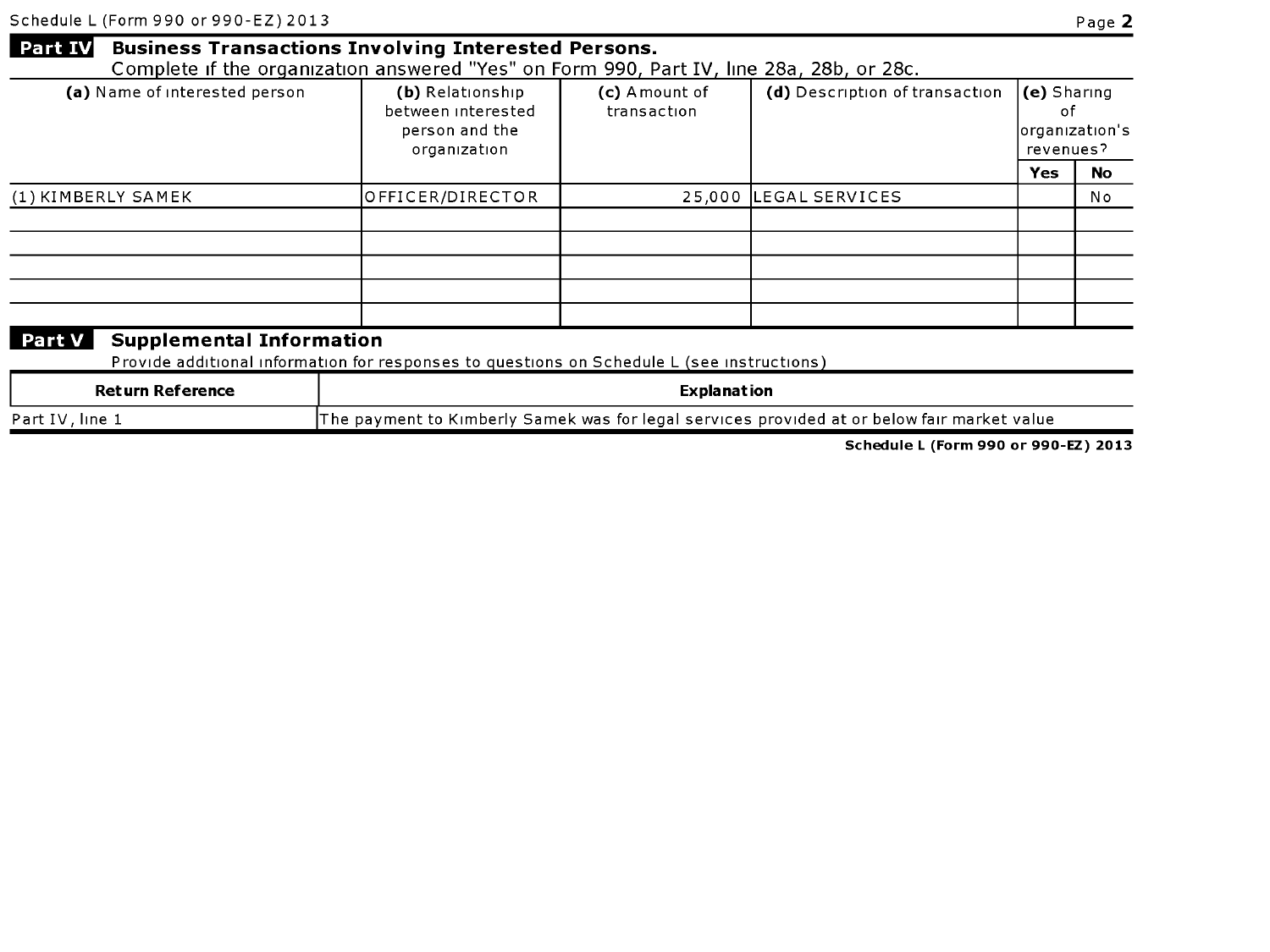|                    | organization     |                       | revenues? |           |  |
|--------------------|------------------|-----------------------|-----------|-----------|--|
|                    |                  |                       | Yes       | <b>No</b> |  |
| (1) KIMBERLY SAMEK | OFFICER/DIRECTOR | 25,000 LEGAL SERVICES |           | No        |  |
|                    |                  |                       |           |           |  |
|                    |                  |                       |           |           |  |
|                    |                  |                       |           |           |  |
|                    |                  |                       |           |           |  |
|                    |                  |                       |           |           |  |

### **Part V** Supplemental Information

Provide additional information for responses to questions on Schedule L (see instructions)

| <b>Return Reference</b> | Explanation                                                                                 |
|-------------------------|---------------------------------------------------------------------------------------------|
| Part IV.<br>line 1      | The payment to Kımberly Samek was for legal services provided at or below fair market value |

Schedule <sup>L</sup> (Form 990 or 990-EZ) 2013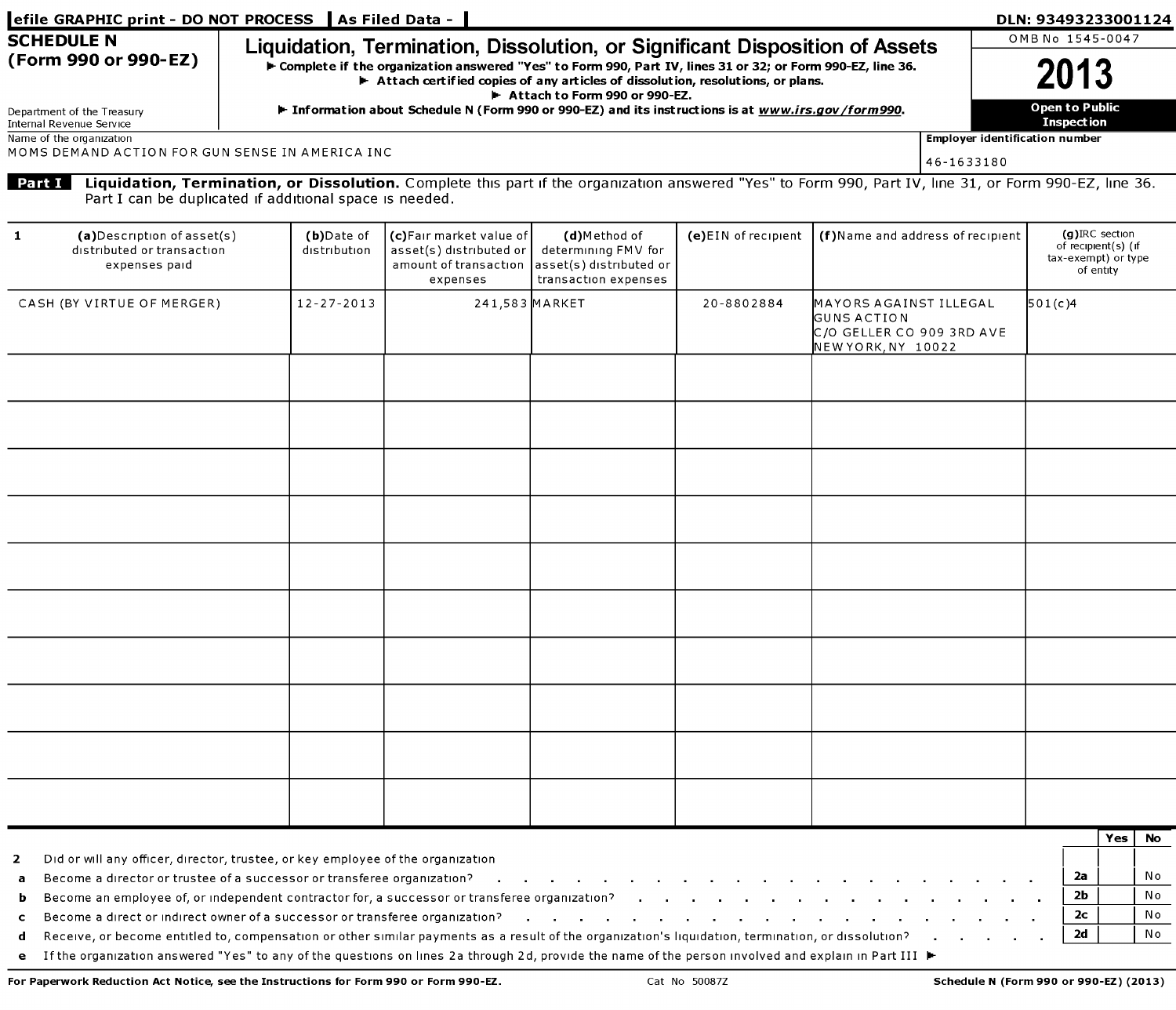| <b>SCHEDULE N</b>                                                               |                                                         |                                                                                                                                                                                             |                                                                                         |                     |                                                                                                 |                                       | OMB No 1545-0047                                                             |  |  |
|---------------------------------------------------------------------------------|---------------------------------------------------------|---------------------------------------------------------------------------------------------------------------------------------------------------------------------------------------------|-----------------------------------------------------------------------------------------|---------------------|-------------------------------------------------------------------------------------------------|---------------------------------------|------------------------------------------------------------------------------|--|--|
| (Form 990 or 990-EZ)                                                            |                                                         | Liquidation, Termination, Dissolution, or Significant Disposition of Assets<br>► Complete if the organization answered "Yes" to Form 990, Part IV, lines 31 or 32; or Form 990-EZ, line 36. |                                                                                         |                     |                                                                                                 |                                       |                                                                              |  |  |
|                                                                                 |                                                         | IF Attach certified copies of any articles of dissolution, resolutions, or plans.                                                                                                           | Attach to Form 990 or 990-EZ.                                                           |                     |                                                                                                 |                                       | 2013                                                                         |  |  |
| Department of the Treasury<br><b>Internal Revenue Service</b>                   |                                                         | F Information about Schedule N (Form 990 or 990-EZ) and its instructions is at www.irs.gov/form990.                                                                                         |                                                                                         |                     |                                                                                                 |                                       | <b>Open to Public</b><br><b>Inspection</b>                                   |  |  |
| Name of the organization                                                        |                                                         |                                                                                                                                                                                             |                                                                                         |                     |                                                                                                 | <b>Employer identification number</b> |                                                                              |  |  |
| MOMS DEMAND ACTION FOR GUN SENSE IN AMERICA INC                                 |                                                         |                                                                                                                                                                                             |                                                                                         |                     |                                                                                                 | 46-1633180                            |                                                                              |  |  |
| Part I                                                                          | Part I can be duplicated if additional space is needed. | Liquidation, Termination, or Dissolution. Complete this part if the organization answered "Yes" to Form 990, Part IV, line 31, or Form 990-EZ, line 36.                                     |                                                                                         |                     |                                                                                                 |                                       |                                                                              |  |  |
| 1<br>(a) Description of asset(s)<br>distributed or transaction<br>expenses paid | (b)Date of<br>distribution                              | (c)Fair market value of<br>asset(s) distributed or<br>amount of transaction<br>expenses                                                                                                     | (d)Method of<br>determining FMV for<br>asset(s) distributed or <br>transaction expenses | (e)EIN of recipient | (f) Name and address of recipient                                                               |                                       | $(q)$ IRC section<br>of recipient(s) (if<br>tax-exempt) or type<br>of entity |  |  |
| CASH (BY VIRTUE OF MERGER)                                                      | $12 - 27 - 2013$                                        | 241,583 MARKET                                                                                                                                                                              |                                                                                         | 20-8802884          | MAYORS AGAINST ILLEGAL<br><b>GUNS ACTION</b><br>C/O GELLER CO 909 3RD AVE<br>NEW YORK, NY 10022 |                                       | 501(c)4                                                                      |  |  |
|                                                                                 |                                                         |                                                                                                                                                                                             |                                                                                         |                     |                                                                                                 |                                       |                                                                              |  |  |
|                                                                                 |                                                         |                                                                                                                                                                                             |                                                                                         |                     |                                                                                                 |                                       |                                                                              |  |  |
|                                                                                 |                                                         |                                                                                                                                                                                             |                                                                                         |                     |                                                                                                 |                                       |                                                                              |  |  |
|                                                                                 |                                                         |                                                                                                                                                                                             |                                                                                         |                     |                                                                                                 |                                       |                                                                              |  |  |
|                                                                                 |                                                         |                                                                                                                                                                                             |                                                                                         |                     |                                                                                                 |                                       |                                                                              |  |  |
|                                                                                 |                                                         |                                                                                                                                                                                             |                                                                                         |                     |                                                                                                 |                                       |                                                                              |  |  |
|                                                                                 |                                                         |                                                                                                                                                                                             |                                                                                         |                     |                                                                                                 |                                       |                                                                              |  |  |
|                                                                                 |                                                         |                                                                                                                                                                                             |                                                                                         |                     |                                                                                                 |                                       |                                                                              |  |  |
|                                                                                 |                                                         |                                                                                                                                                                                             |                                                                                         |                     |                                                                                                 |                                       |                                                                              |  |  |
|                                                                                 |                                                         |                                                                                                                                                                                             |                                                                                         |                     |                                                                                                 |                                       |                                                                              |  |  |
|                                                                                 |                                                         |                                                                                                                                                                                             |                                                                                         |                     |                                                                                                 |                                       |                                                                              |  |  |

| <b>2</b> | Did or will any officer, director, trustee, or key employee of the organization                                                                                         |    |  |     |  |  |  |  |  |  |  |
|----------|-------------------------------------------------------------------------------------------------------------------------------------------------------------------------|----|--|-----|--|--|--|--|--|--|--|
|          |                                                                                                                                                                         | 2a |  | No  |  |  |  |  |  |  |  |
|          |                                                                                                                                                                         | 2b |  | No  |  |  |  |  |  |  |  |
|          |                                                                                                                                                                         | 2с |  | N o |  |  |  |  |  |  |  |
|          | d Receive, or become entitled to, compensation or other similar payments as a result of the organization's liquidation, termination, or dissolution? $\vert$ 2d $\vert$ |    |  |     |  |  |  |  |  |  |  |
|          | e If the organization answered "Yes" to any of the questions on lines 2a through 2d, provide the name of the person involved and explain in Part III                    |    |  |     |  |  |  |  |  |  |  |

| <b>For Paperwork Reduction Act Notice.</b><br>$\sim$ see the Instructions for Form 990 or Form 990-EZ . | м.<br>∽∩∩Q⊺ | (Form 990<br>, or 990.<br>(2013)<br>chedule N |
|---------------------------------------------------------------------------------------------------------|-------------|-----------------------------------------------|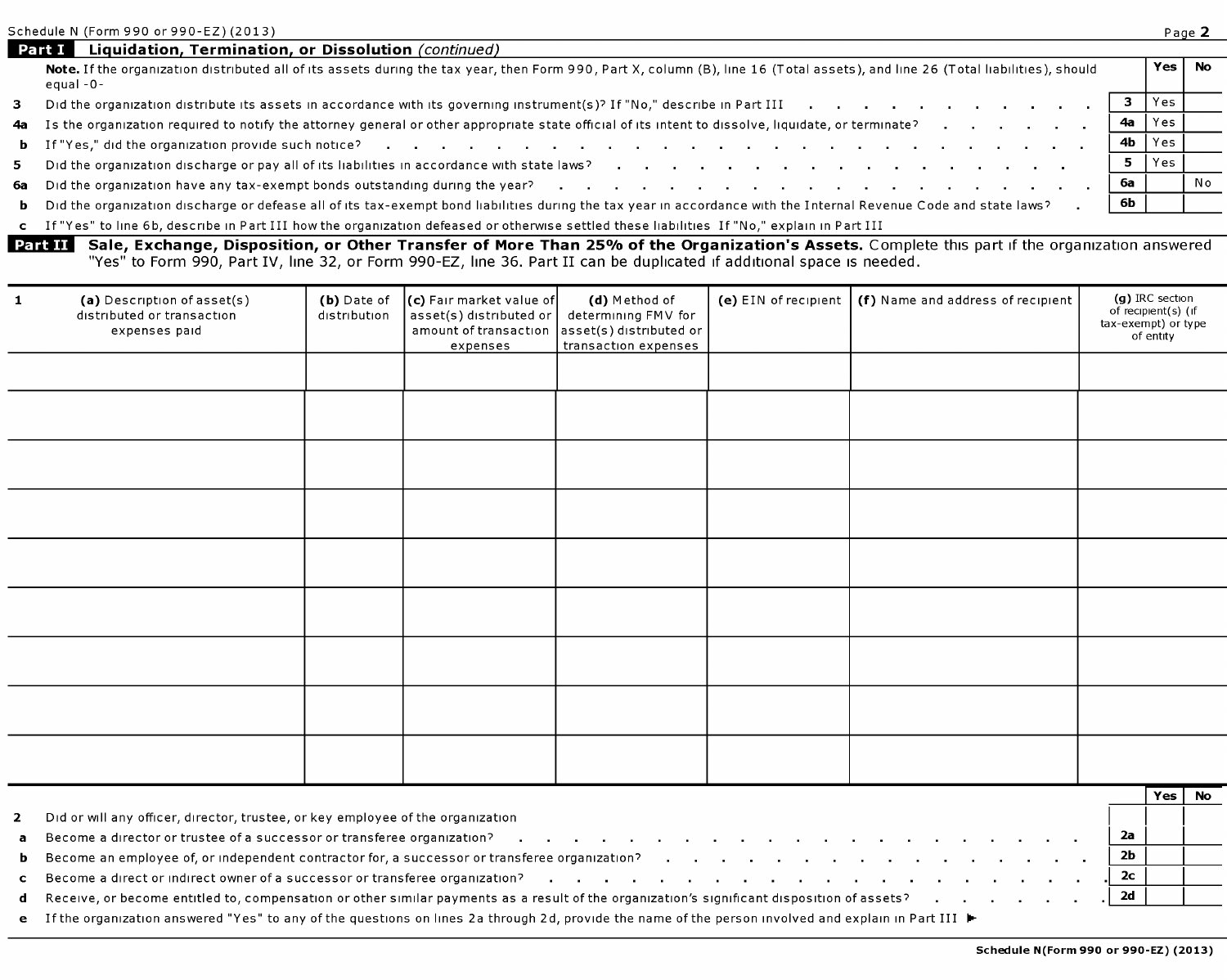| Schedule N (Form 990 or 990-EZ) (2013) | $P$ age $\triangle$ |
|----------------------------------------|---------------------|
|----------------------------------------|---------------------|

|      | <b>Part I</b> Liquidation, Termination, or Dissolution (continued)                                                                                                                                                             |     |          |    |
|------|--------------------------------------------------------------------------------------------------------------------------------------------------------------------------------------------------------------------------------|-----|----------|----|
|      | Note. If the organization distributed all of its assets during the tax year, then Form 990, Part X, column (B), line 16 (Total assets), and line 26 (Total liabilities), should<br>equal-0-                                    |     | Yes   No |    |
|      |                                                                                                                                                                                                                                |     | Yes      |    |
| 4a - | Is the organization required to notify the attorney general or other appropriate state official of its intent to dissolve, liquidate, or terminate?                                                                            | -4a | Yes      |    |
|      |                                                                                                                                                                                                                                | 4b  | Yes      |    |
|      |                                                                                                                                                                                                                                |     | Yes      |    |
| 6a   | Did the organization have any tax-exempt bonds outstanding during the year? The Construction of the Construction of the Vear Pressure of the Vear Pressure of the Vear Pressure of the Vear Pressure of the Vear Pressure of t | 6a  |          | No |
|      | b Did the organization discharge or defease all of its tax-exempt bond liabilities during the tax year in accordance with the Internal Revenue Code and state laws?                                                            | 6b  |          |    |
|      | c If "Yes" to line 6b, describe in Part III how the organization defeased or otherwise settled these liabilities If "No," explain in Part III                                                                                  |     |          |    |

Sale, Exchange, Disposition, or Other Transfer of More Than 25% of the Organization's Assets. Complete this part if the organization answered Part II "Yes" to Form 990, Part IV, line 32, or Form 990-EZ, line 36. Part II can be duplicated if additional space is needed.

| 1                   | (a) Description of asset(s)<br>distributed or transaction<br>expenses paid                                                                                 | (b) Date of<br>distribution | $\vert$ (c) Fair market value of $\vert$<br>asset(s) distributed or<br>amount of transaction<br>expenses | (d) Method of<br>determining FMV for<br>asset(s) distributed or<br>transaction expenses | (e) EIN of recipient | (f) Name and address of recipient                                                                               |                | (g) IRC section<br>of recipient(s) (if<br>tax-exempt) or type<br>of entity |               |
|---------------------|------------------------------------------------------------------------------------------------------------------------------------------------------------|-----------------------------|----------------------------------------------------------------------------------------------------------|-----------------------------------------------------------------------------------------|----------------------|-----------------------------------------------------------------------------------------------------------------|----------------|----------------------------------------------------------------------------|---------------|
|                     |                                                                                                                                                            |                             |                                                                                                          |                                                                                         |                      |                                                                                                                 |                |                                                                            |               |
|                     |                                                                                                                                                            |                             |                                                                                                          |                                                                                         |                      |                                                                                                                 |                |                                                                            |               |
|                     |                                                                                                                                                            |                             |                                                                                                          |                                                                                         |                      |                                                                                                                 |                |                                                                            |               |
|                     |                                                                                                                                                            |                             |                                                                                                          |                                                                                         |                      |                                                                                                                 |                |                                                                            |               |
|                     |                                                                                                                                                            |                             |                                                                                                          |                                                                                         |                      |                                                                                                                 |                |                                                                            |               |
|                     |                                                                                                                                                            |                             |                                                                                                          |                                                                                         |                      |                                                                                                                 |                |                                                                            |               |
|                     |                                                                                                                                                            |                             |                                                                                                          |                                                                                         |                      |                                                                                                                 |                |                                                                            |               |
|                     |                                                                                                                                                            |                             |                                                                                                          |                                                                                         |                      |                                                                                                                 |                |                                                                            |               |
|                     |                                                                                                                                                            |                             |                                                                                                          |                                                                                         |                      |                                                                                                                 |                |                                                                            |               |
|                     |                                                                                                                                                            |                             |                                                                                                          |                                                                                         |                      |                                                                                                                 |                |                                                                            | $Yes \mid No$ |
| $\overline{2}$<br>a | Did or will any officer, director, trustee, or key employee of the organization<br>Become a director or trustee of a successor or transferee organization? |                             |                                                                                                          | <b>Contract Contract Contract</b>                                                       |                      |                                                                                                                 | 2a             |                                                                            |               |
| b                   | Become an employee of, or independent contractor for, a successor or transferee organization?                                                              |                             |                                                                                                          |                                                                                         |                      | the contract of the contract of the contract of the contract of the contract of the contract of the contract of | 2 <sub>b</sub> |                                                                            |               |

c Become a direct or indirect owner of a successor or transferee organization? . . . . . . . . .

d Receive, or become entitled to, compensation or other similar payments as a result of the organization's significant disposition of assets? . . . . . . 2d

e If the organization answered "Yes" to any of the questions on lines 2a through 2d, provide the name of the person involved and explain in Part III

2c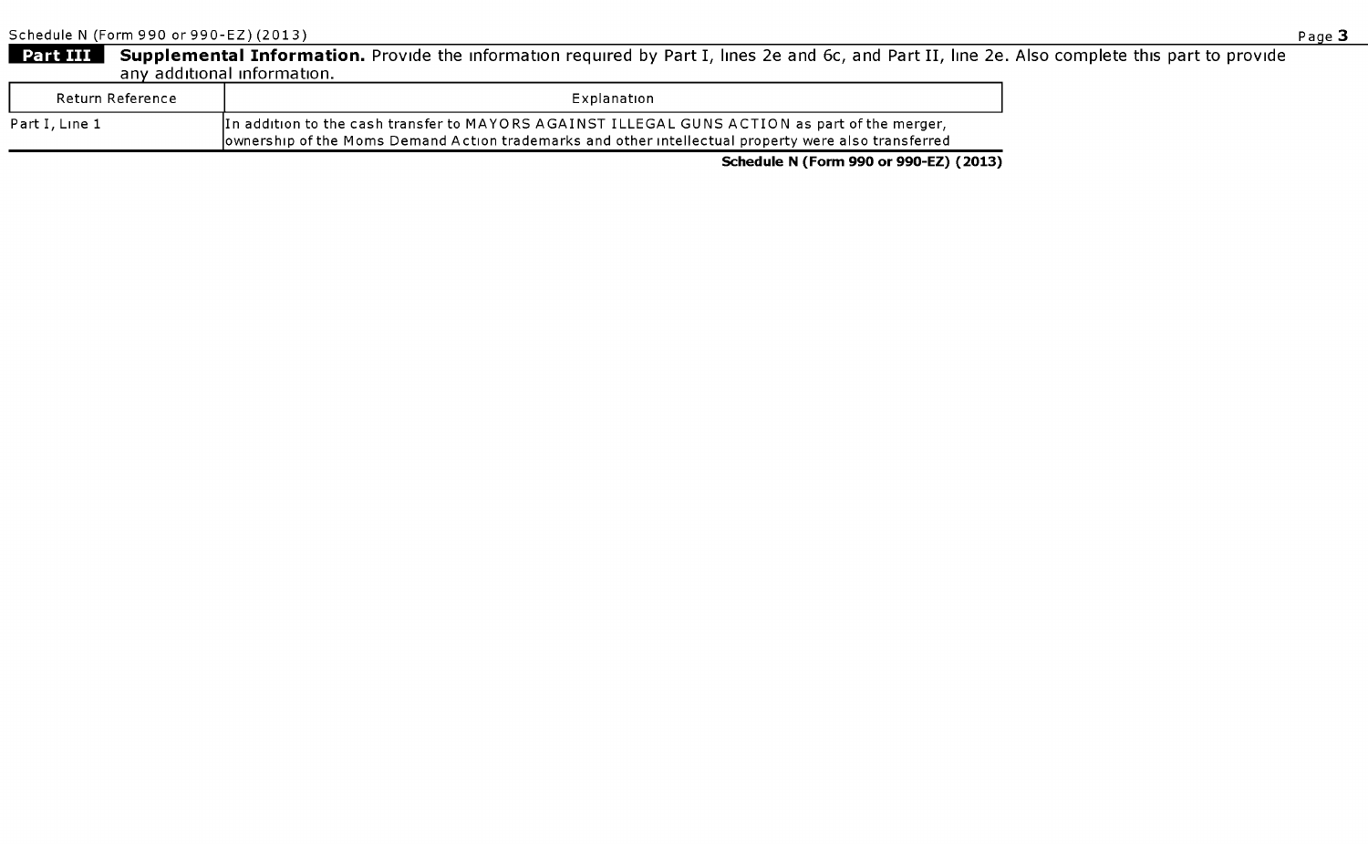Supplemental Information. Provide the information required by Part I, lines 2e and 6c, and Part II, line 2e. Also complete this part to provide any additional information.

| Return Reference | Explanation                                                                                                                                                                                           |
|------------------|-------------------------------------------------------------------------------------------------------------------------------------------------------------------------------------------------------|
| Part I. Line 1   | In addition to the cash transfer to MAYORS AGAINST ILLEGAL GUNS ACTION as part of the merger,<br>ownership of the Moms Demand Action trademarks and other intellectual property were also transferred |

Schedule N (Form 990 or 990-EZ) (2013)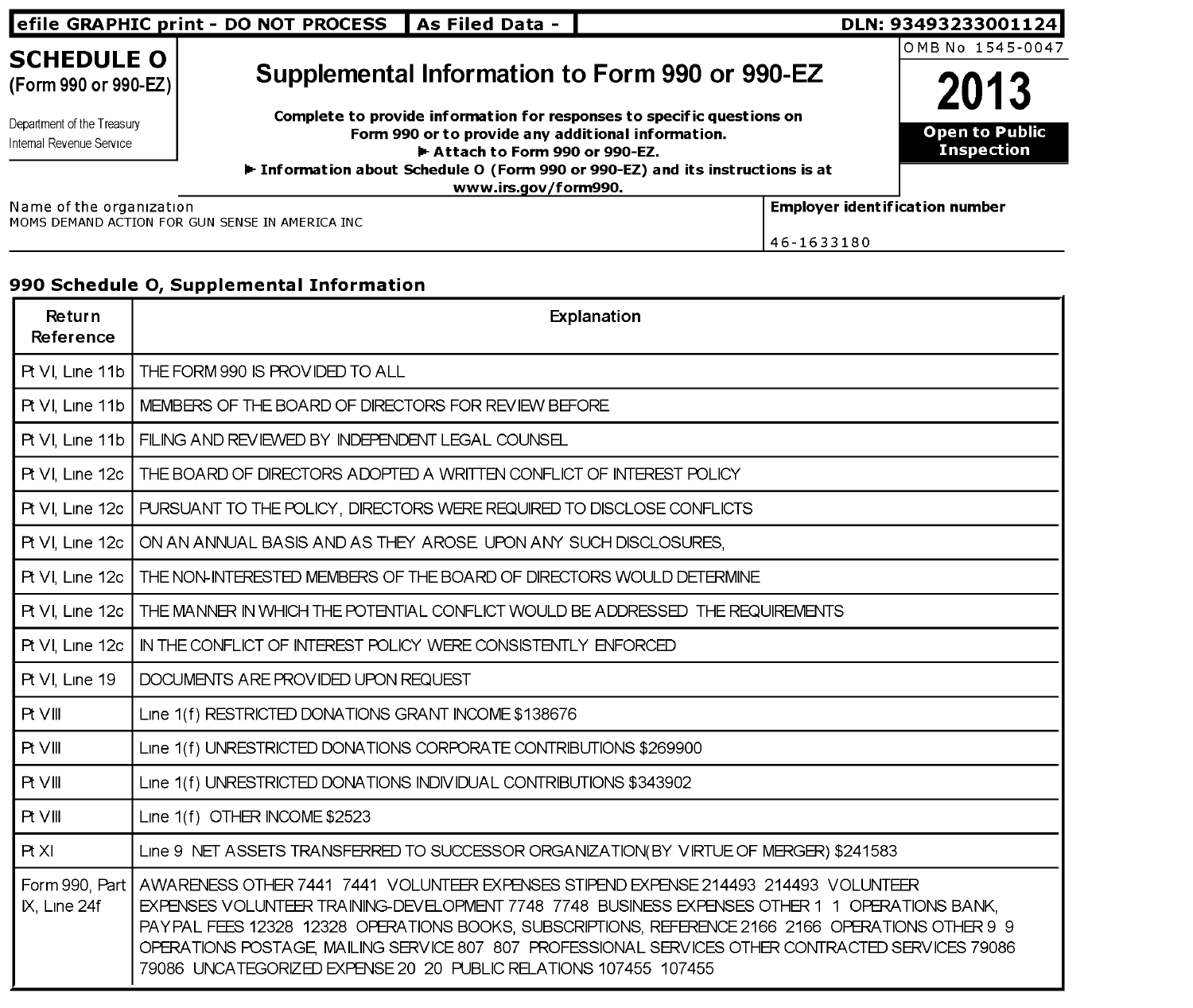|                                                                             | efile GRAPHIC print - DO NOT PROCESS                                                                                                                            | As Filed Data -      | DLN: 93493233001124                                                            |                                            |  |
|-----------------------------------------------------------------------------|-----------------------------------------------------------------------------------------------------------------------------------------------------------------|----------------------|--------------------------------------------------------------------------------|--------------------------------------------|--|
| <b>SCHEDULE O</b><br>(Form 990 or 990-EZ)                                   |                                                                                                                                                                 |                      | Supplemental Information to Form 990 or 990-EZ                                 | IOMB No 1545-0047<br>2013                  |  |
| Department of the Treasury<br>Internal Revenue Service                      | Complete to provide information for responses to specific questions on<br>Form 990 or to provide any additional information.<br>► Attach to Form 990 or 990-EZ. |                      |                                                                                | <b>Open to Public</b><br><b>Inspection</b> |  |
|                                                                             |                                                                                                                                                                 | www.irs.gov/form990. | ► Information about Schedule O (Form 990 or 990-EZ) and its instructions is at |                                            |  |
| Name of the organization<br>MOMS DEMAND ACTION FOR GUN SENSE IN AMERICA INC |                                                                                                                                                                 |                      | <b>Employer ident if ication number</b>                                        |                                            |  |
| 46-1633180                                                                  |                                                                                                                                                                 |                      |                                                                                |                                            |  |

## 990 Schedule 0, Supplemental Information

| Return<br>Reference | Explanation                                                                                                                                                                                                                                                                                                                                                                                                                                                                           |
|---------------------|---------------------------------------------------------------------------------------------------------------------------------------------------------------------------------------------------------------------------------------------------------------------------------------------------------------------------------------------------------------------------------------------------------------------------------------------------------------------------------------|
| Pt VI. Line 11b     | THE FORM 990 IS PROVIDED TO ALL                                                                                                                                                                                                                                                                                                                                                                                                                                                       |
| Pt VI, Line 11b     | MEMBERS OF THE BOARD OF DIRECTORS FOR REVIEW BEFORE                                                                                                                                                                                                                                                                                                                                                                                                                                   |
| Pt VI, Line 11b     | FILING AND REVIEWED BY INDEPENDENT LEGAL COUNSEL                                                                                                                                                                                                                                                                                                                                                                                                                                      |
| Pt VI, Line 12c     | THE BOARD OF DIRECTORS ADOPTED A WRITTEN CONFLICT OF INTEREST POLICY                                                                                                                                                                                                                                                                                                                                                                                                                  |
| Pt VI, Line 12c     | PURSUANT TO THE POLICY, DIRECTORS WERE REQUIRED TO DISCLOSE CONFLICTS                                                                                                                                                                                                                                                                                                                                                                                                                 |
| Pt VI, Line 12c     | ON AN ANNUAL BASIS AND AS THEY AROSE UPON ANY SUCH DISCLOSURES.                                                                                                                                                                                                                                                                                                                                                                                                                       |
| Pt VI, Line 12c     | THE NON-INTERESTED MEMBERS OF THE BOARD OF DIRECTORS WOULD DETERMINE                                                                                                                                                                                                                                                                                                                                                                                                                  |
| Pt VI, Line 12c     | THE MANNER IN WHICH THE POTENTIAL CONFLICT WOULD BE ADDRESSED THE REQUIREMENTS                                                                                                                                                                                                                                                                                                                                                                                                        |
| Pt VI, Line 12c     | IN THE CONFLICT OF INTEREST POLICY WERE CONSISTENTLY ENFORCED                                                                                                                                                                                                                                                                                                                                                                                                                         |
| Pt VI, Line 19      | DOCUMENTS ARE PROVIDED UPON REQUEST                                                                                                                                                                                                                                                                                                                                                                                                                                                   |
| Pt VIII             | Line 1(f) RESTRICTED DONATIONS GRANT INCOME \$138676                                                                                                                                                                                                                                                                                                                                                                                                                                  |
| Pt VIII             | Line 1(f) UNRESTRICTED DONATIONS CORPORATE CONTRIBUTIONS \$269900                                                                                                                                                                                                                                                                                                                                                                                                                     |
| Pt VIII             | Line 1(f) UNRESTRICTED DONATIONS INDIVIDUAL CONTRIBUTIONS \$343902                                                                                                                                                                                                                                                                                                                                                                                                                    |
| $Pt$ $VII$          | Line 1(f) OTHER INCOME \$2523                                                                                                                                                                                                                                                                                                                                                                                                                                                         |
| Pt XI               | Line 9 NET ASSETS TRANSFERRED TO SUCCESSOR ORGANIZATION(BY VIRTUE OF MERGER) \$241583                                                                                                                                                                                                                                                                                                                                                                                                 |
| IX, Line 24f        | Form 990, Part   AWARENESS OTHER 7441 7441 VOLUNTEER EXPENSES STIPEND EXPENSE 214493 214493 VOLUNTEER<br>EXPENSES VOLUNTEER TRAINING-DEVELOPMENT 7748 7748 BUSINESS EXPENSES OTHER 1 1 OPERATIONS BANK.<br>PAYPAL FEES 12328 12328 OPERATIONS BOOKS, SUBSCRIPTIONS, REFERENCE 2166 2166 OPERATIONS OTHER 9 9<br>OPERATIONS POSTAGE, MAILING SERVICE 807 807 PROFESSIONAL SERVICES OTHER CONTRACTED SERVICES 79086<br>79086 UNCATEGORIZED EXPENSE 20 20 PUBLIC RELATIONS 107455 107455 |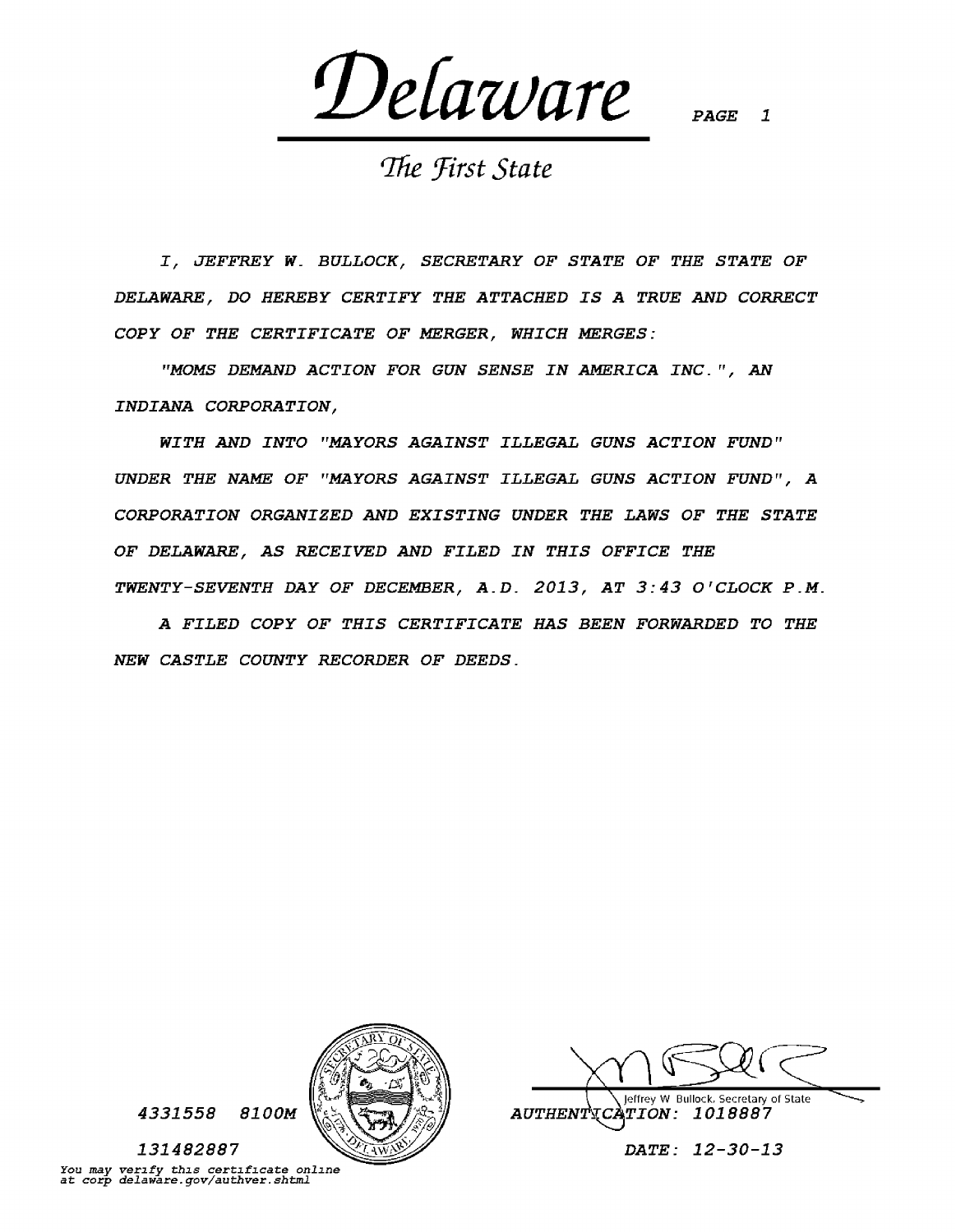Delaware

The First State

1, JEFFREY W\_ BULLOCK, SECRETARY OF STATE OF THE STATE OF DELAWARE, DO HEREBY CERTIFY THE ATTACHED IS A TRUE AND CORRECT COPY OF THE CERTIFICATE OF MERGER, WHICH MERGES:

"MOMS DEMAND ACTION FOR GUN SENSE IN AMERICA INC\_", AN INDIANA CORPORATION,

WITH AND INTO "MAYORS AGAINST ILLEGAL GUNS ACTION FUND" UNDER THE NAME OF "MAYORS AGAINST ILLEGAL GUNS ACTION FUND", A CORPORATION ORGANIZED AND EXISTING UNDER THE LAWS OF THE STATE OF DELAWARE, AS RECEIVED AND FILED IN THIS OFFICE THE TWENTY-SEVENTH DAY OF DECEMBER, A.D. 2013, AT 3:43 O'CLOCK P.M.

A FILED COPY OF THIS CERTIFICATE HAS BEEN FORWARDED TO THE NEW CASTLE COUNTY RECORDER OF DEEDS.



4331558 8100M

131482887

You may verify this certificate online at corp delaware.gov/authver.shtml

Jeffrey W Bullock . Secretary of State

AUTHENTICATION: 1018887

DATE : 12-30-13